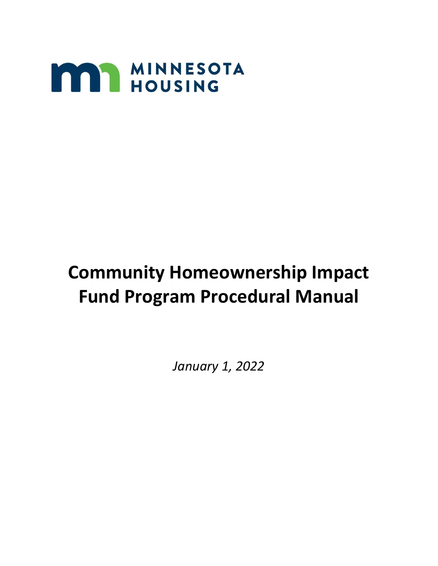

# **Community Homeownership Impact Fund Program Procedural Manual**

*January 1, 2022*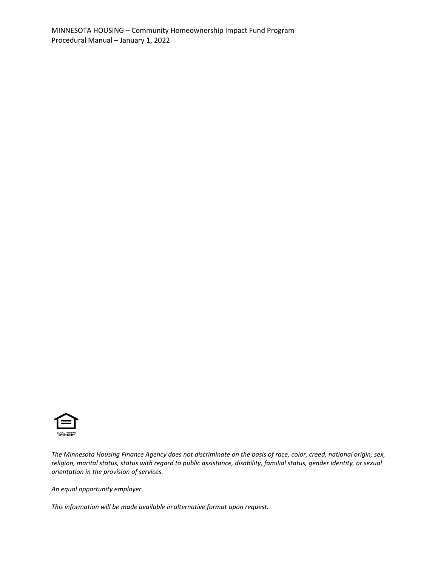

*The Minnesota Housing Finance Agency does not discriminate on the basis of race, color, creed, national origin, sex, religion, marital status, status with regard to public assistance, disability, familial status, gender identity, or sexual orientation in the provision of services.*

*An equal opportunity employer.*

*This information will be made available in alternative format upon request.*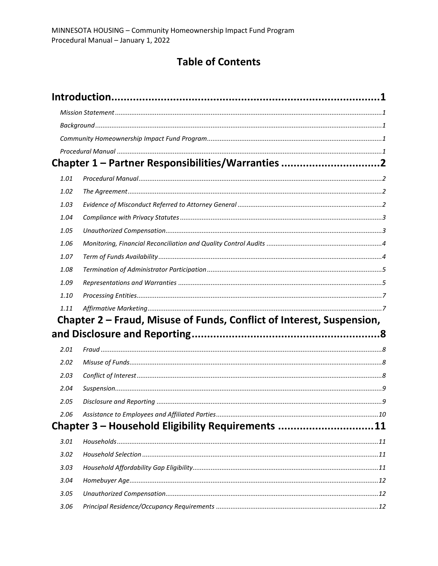# **Table of Contents**

|      | Chapter 1 - Partner Responsibilities/Warranties 2                     |  |
|------|-----------------------------------------------------------------------|--|
| 1.01 |                                                                       |  |
| 1.02 |                                                                       |  |
| 1.03 |                                                                       |  |
| 1.04 |                                                                       |  |
| 1.05 |                                                                       |  |
| 1.06 |                                                                       |  |
| 1.07 |                                                                       |  |
| 1.08 |                                                                       |  |
| 1.09 |                                                                       |  |
| 1.10 |                                                                       |  |
| 1.11 |                                                                       |  |
|      | Chapter 2 – Fraud, Misuse of Funds, Conflict of Interest, Suspension, |  |
|      |                                                                       |  |
| 2.01 |                                                                       |  |
| 2.02 |                                                                       |  |
| 2.03 |                                                                       |  |
| 2.04 |                                                                       |  |
| 2.05 |                                                                       |  |
| 2.06 |                                                                       |  |
|      | Chapter 3 - Household Eligibility Requirements 11                     |  |
| 3.01 |                                                                       |  |
| 3.02 |                                                                       |  |
| 3.03 |                                                                       |  |
| 3.04 |                                                                       |  |
| 3.05 |                                                                       |  |
| 3.06 |                                                                       |  |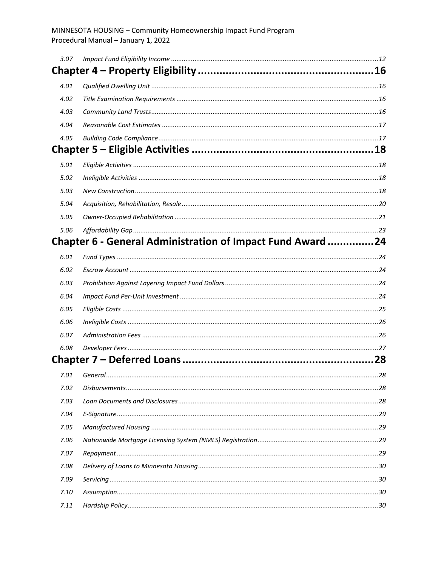| 3.07 |                                                           |  |
|------|-----------------------------------------------------------|--|
|      |                                                           |  |
| 4.01 |                                                           |  |
| 4.02 |                                                           |  |
| 4.03 |                                                           |  |
| 4.04 |                                                           |  |
| 4.05 |                                                           |  |
|      |                                                           |  |
| 5.01 |                                                           |  |
| 5.02 |                                                           |  |
| 5.03 |                                                           |  |
| 5.04 |                                                           |  |
| 5.05 |                                                           |  |
| 5.06 |                                                           |  |
|      | Chapter 6 - General Administration of Impact Fund Award24 |  |
| 6.01 |                                                           |  |
| 6.02 |                                                           |  |
| 6.03 |                                                           |  |
| 6.04 |                                                           |  |
| 6.05 |                                                           |  |
| 6.06 |                                                           |  |
| 6.07 |                                                           |  |
| 6.08 |                                                           |  |
|      |                                                           |  |
|      |                                                           |  |
| 7.02 |                                                           |  |
| 7.03 |                                                           |  |
| 7.04 |                                                           |  |
| 7.05 |                                                           |  |
| 7.06 |                                                           |  |
| 7.07 |                                                           |  |
| 7.08 |                                                           |  |
| 7.09 |                                                           |  |
| 7.10 |                                                           |  |
| 7.11 |                                                           |  |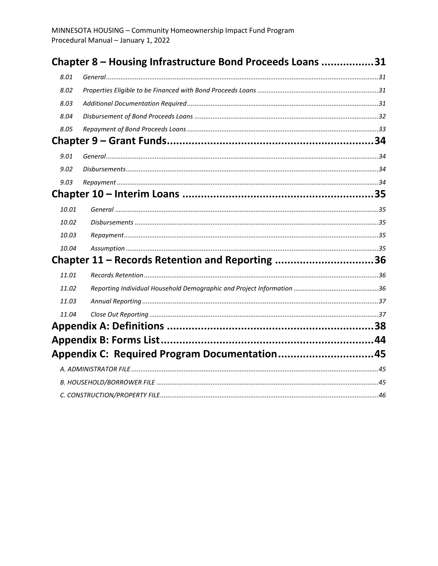|       | Chapter 8 - Housing Infrastructure Bond Proceeds Loans 31 |  |
|-------|-----------------------------------------------------------|--|
| 8.01  |                                                           |  |
| 8.02  |                                                           |  |
| 8.03  |                                                           |  |
| 8.04  |                                                           |  |
| 8.05  |                                                           |  |
|       |                                                           |  |
| 9.01  |                                                           |  |
| 9.02  |                                                           |  |
| 9.03  |                                                           |  |
|       |                                                           |  |
| 10.01 |                                                           |  |
| 10.02 |                                                           |  |
| 10.03 |                                                           |  |
| 10.04 |                                                           |  |
|       | Chapter 11 - Records Retention and Reporting 36           |  |
| 11.01 |                                                           |  |
| 11.02 |                                                           |  |
| 11.03 |                                                           |  |
| 11.04 |                                                           |  |
|       |                                                           |  |
|       |                                                           |  |
|       | Appendix C: Required Program Documentation45              |  |
|       |                                                           |  |
|       |                                                           |  |
|       |                                                           |  |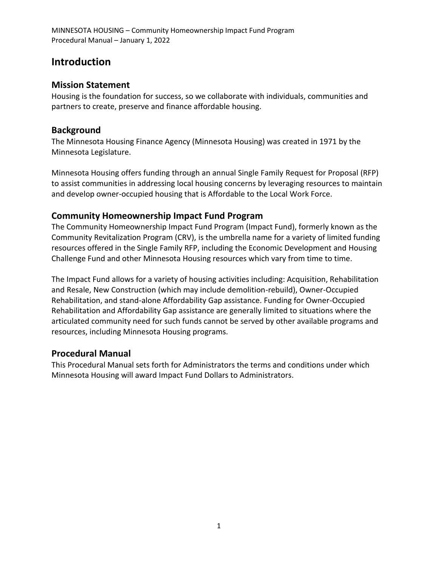## <span id="page-5-0"></span>**Introduction**

#### <span id="page-5-1"></span>**Mission Statement**

Housing is the foundation for success, so we collaborate with individuals, communities and partners to create, preserve and finance affordable housing.

#### <span id="page-5-2"></span>**Background**

The Minnesota Housing Finance Agency (Minnesota Housing) was created in 1971 by the Minnesota Legislature.

Minnesota Housing offers funding through an annual Single Family Request for Proposal (RFP) to assist communities in addressing local housing concerns by leveraging resources to maintain and develop owner-occupied housing that is Affordable to the Local Work Force.

#### <span id="page-5-3"></span>**Community Homeownership Impact Fund Program**

The Community Homeownership Impact Fund Program (Impact Fund), formerly known as the Community Revitalization Program (CRV), is the umbrella name for a variety of limited funding resources offered in the Single Family RFP, including the Economic Development and Housing Challenge Fund and other Minnesota Housing resources which vary from time to time.

The Impact Fund allows for a variety of housing activities including: Acquisition, Rehabilitation and Resale, New Construction (which may include demolition-rebuild), Owner-Occupied Rehabilitation, and stand-alone Affordability Gap assistance. Funding for Owner-Occupied Rehabilitation and Affordability Gap assistance are generally limited to situations where the articulated community need for such funds cannot be served by other available programs and resources, including Minnesota Housing programs.

#### <span id="page-5-4"></span>**Procedural Manual**

This Procedural Manual sets forth for Administrators the terms and conditions under which Minnesota Housing will award Impact Fund Dollars to Administrators.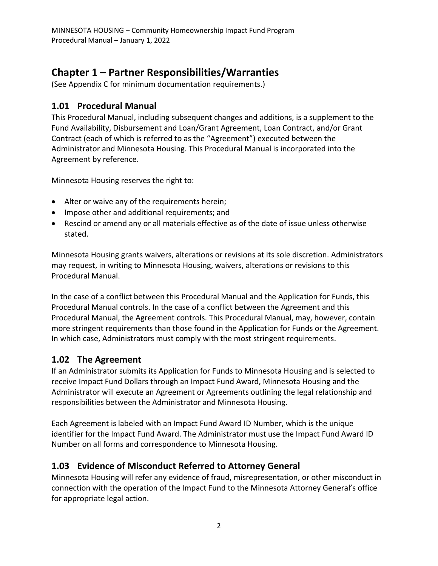# <span id="page-6-0"></span>**Chapter 1 – Partner Responsibilities/Warranties**

(See Appendix C for minimum documentation requirements.)

#### <span id="page-6-1"></span>**1.01 Procedural Manual**

This Procedural Manual, including subsequent changes and additions, is a supplement to the Fund Availability, Disbursement and Loan/Grant Agreement, Loan Contract, and/or Grant Contract (each of which is referred to as the "Agreement") executed between the Administrator and Minnesota Housing. This Procedural Manual is incorporated into the Agreement by reference.

Minnesota Housing reserves the right to:

- Alter or waive any of the requirements herein;
- Impose other and additional requirements; and
- Rescind or amend any or all materials effective as of the date of issue unless otherwise stated.

Minnesota Housing grants waivers, alterations or revisions at its sole discretion. Administrators may request, in writing to Minnesota Housing, waivers, alterations or revisions to this Procedural Manual.

In the case of a conflict between this Procedural Manual and the Application for Funds, this Procedural Manual controls. In the case of a conflict between the Agreement and this Procedural Manual, the Agreement controls. This Procedural Manual, may, however, contain more stringent requirements than those found in the Application for Funds or the Agreement. In which case, Administrators must comply with the most stringent requirements.

## <span id="page-6-2"></span>**1.02 The Agreement**

If an Administrator submits its Application for Funds to Minnesota Housing and is selected to receive Impact Fund Dollars through an Impact Fund Award, Minnesota Housing and the Administrator will execute an Agreement or Agreements outlining the legal relationship and responsibilities between the Administrator and Minnesota Housing.

Each Agreement is labeled with an Impact Fund Award ID Number, which is the unique identifier for the Impact Fund Award. The Administrator must use the Impact Fund Award ID Number on all forms and correspondence to Minnesota Housing.

## <span id="page-6-3"></span>**1.03 Evidence of Misconduct Referred to Attorney General**

Minnesota Housing will refer any evidence of fraud, misrepresentation, or other misconduct in connection with the operation of the Impact Fund to the Minnesota Attorney General's office for appropriate legal action.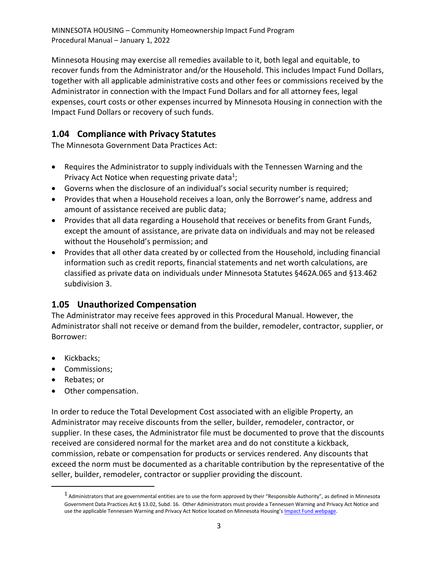Minnesota Housing may exercise all remedies available to it, both legal and equitable, to recover funds from the Administrator and/or the Household. This includes Impact Fund Dollars, together with all applicable administrative costs and other fees or commissions received by the Administrator in connection with the Impact Fund Dollars and for all attorney fees, legal expenses, court costs or other expenses incurred by Minnesota Housing in connection with the Impact Fund Dollars or recovery of such funds.

## <span id="page-7-0"></span>**1.04 Compliance with Privacy Statutes**

The Minnesota Government Data Practices Act:

- Requires the Administrator to supply individuals with the Tennessen Warning and the Privacy Act Notice when requesting private data<sup>1</sup>;
- Governs when the disclosure of an individual's social security number is required;
- Provides that when a Household receives a loan, only the Borrower's name, address and amount of assistance received are public data;
- Provides that all data regarding a Household that receives or benefits from Grant Funds, except the amount of assistance, are private data on individuals and may not be released without the Household's permission; and
- Provides that all other data created by or collected from the Household, including financial information such as credit reports, financial statements and net worth calculations, are classified as private data on individuals under Minnesota Statutes §462A.065 and §13.462 subdivision 3.

#### <span id="page-7-1"></span>**1.05 Unauthorized Compensation**

The Administrator may receive fees approved in this Procedural Manual. However, the Administrator shall not receive or demand from the builder, remodeler, contractor, supplier, or Borrower:

- Kickbacks;
- Commissions;
- Rebates; or
- Other compensation.

In order to reduce the Total Development Cost associated with an eligible Property, an Administrator may receive discounts from the seller, builder, remodeler, contractor, or supplier. In these cases, the Administrator file must be documented to prove that the discounts received are considered normal for the market area and do not constitute a kickback, commission, rebate or compensation for products or services rendered. Any discounts that exceed the norm must be documented as a charitable contribution by the representative of the seller, builder, remodeler, contractor or supplier providing the discount.

 $^1$  Administrators that are governmental entities are to use the form approved by their "Responsible Authority", as defined in Minnesota Government Data Practices Act § 13.02, Subd. 16. Other Administrators must provide a Tennessen Warning and Privacy Act Notice and use the applicable Tennessen Warning and Privacy Act Notice located on Minnesota Housing's [Impact Fund webpage.](https://www.mnhousing.gov/sites/np/impactfund)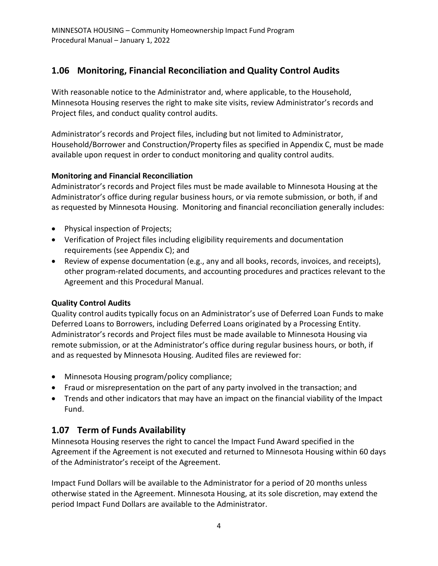## <span id="page-8-0"></span>**1.06 Monitoring, Financial Reconciliation and Quality Control Audits**

With reasonable notice to the Administrator and, where applicable, to the Household, Minnesota Housing reserves the right to make site visits, review Administrator's records and Project files, and conduct quality control audits.

Administrator's records and Project files, including but not limited to Administrator, Household/Borrower and Construction/Property files as specified in Appendix C, must be made available upon request in order to conduct monitoring and quality control audits.

#### **Monitoring and Financial Reconciliation**

Administrator's records and Project files must be made available to Minnesota Housing at the Administrator's office during regular business hours, or via remote submission, or both, if and as requested by Minnesota Housing. Monitoring and financial reconciliation generally includes:

- Physical inspection of Projects;
- Verification of Project files including eligibility requirements and documentation requirements (see Appendix C); and
- Review of expense documentation (e.g., any and all books, records, invoices, and receipts), other program-related documents, and accounting procedures and practices relevant to the Agreement and this Procedural Manual.

#### **Quality Control Audits**

Quality control audits typically focus on an Administrator's use of Deferred Loan Funds to make Deferred Loans to Borrowers, including Deferred Loans originated by a Processing Entity. Administrator's records and Project files must be made available to Minnesota Housing via remote submission, or at the Administrator's office during regular business hours, or both, if and as requested by Minnesota Housing. Audited files are reviewed for:

- Minnesota Housing program/policy compliance;
- Fraud or misrepresentation on the part of any party involved in the transaction; and
- Trends and other indicators that may have an impact on the financial viability of the Impact Fund.

## <span id="page-8-1"></span>**1.07 Term of Funds Availability**

Minnesota Housing reserves the right to cancel the Impact Fund Award specified in the Agreement if the Agreement is not executed and returned to Minnesota Housing within 60 days of the Administrator's receipt of the Agreement.

Impact Fund Dollars will be available to the Administrator for a period of 20 months unless otherwise stated in the Agreement. Minnesota Housing, at its sole discretion, may extend the period Impact Fund Dollars are available to the Administrator.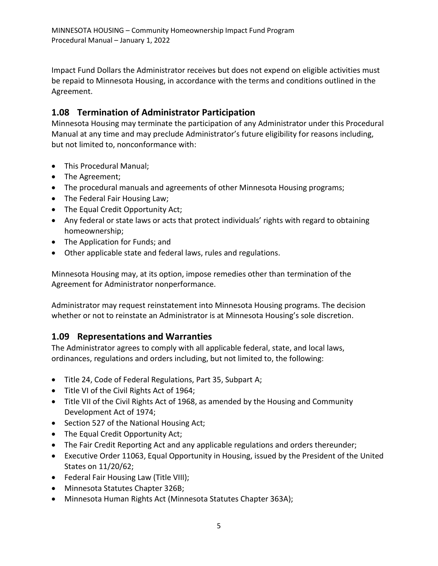Impact Fund Dollars the Administrator receives but does not expend on eligible activities must be repaid to Minnesota Housing, in accordance with the terms and conditions outlined in the Agreement.

## <span id="page-9-0"></span>**1.08 Termination of Administrator Participation**

Minnesota Housing may terminate the participation of any Administrator under this Procedural Manual at any time and may preclude Administrator's future eligibility for reasons including, but not limited to, nonconformance with:

- This Procedural Manual;
- The Agreement;
- The procedural manuals and agreements of other Minnesota Housing programs;
- The Federal Fair Housing Law;
- The Equal Credit Opportunity Act;
- Any federal or state laws or acts that protect individuals' rights with regard to obtaining homeownership;
- The Application for Funds; and
- Other applicable state and federal laws, rules and regulations.

Minnesota Housing may, at its option, impose remedies other than termination of the Agreement for Administrator nonperformance.

Administrator may request reinstatement into Minnesota Housing programs. The decision whether or not to reinstate an Administrator is at Minnesota Housing's sole discretion.

## <span id="page-9-1"></span>**1.09 Representations and Warranties**

The Administrator agrees to comply with all applicable federal, state, and local laws, ordinances, regulations and orders including, but not limited to, the following:

- Title 24, Code of Federal Regulations, Part 35, Subpart A;
- Title VI of the Civil Rights Act of 1964;
- Title VII of the Civil Rights Act of 1968, as amended by the Housing and Community Development Act of 1974;
- Section 527 of the National Housing Act;
- The Equal Credit Opportunity Act;
- The Fair Credit Reporting Act and any applicable regulations and orders thereunder;
- Executive Order 11063, Equal Opportunity in Housing, issued by the President of the United States on 11/20/62;
- Federal Fair Housing Law (Title VIII);
- Minnesota Statutes Chapter 326B;
- Minnesota Human Rights Act (Minnesota Statutes Chapter 363A);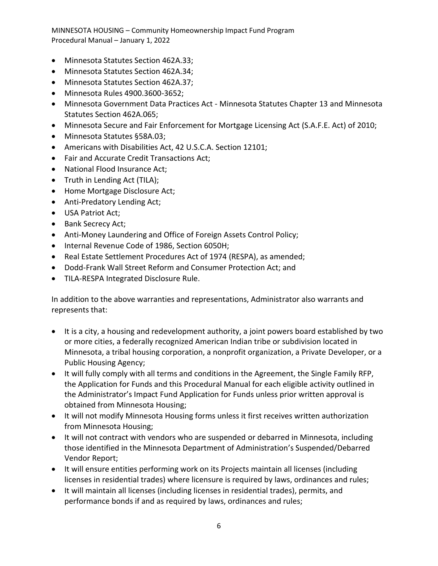- Minnesota Statutes Section 462A.33;
- Minnesota Statutes Section 462A.34;
- Minnesota Statutes Section 462A.37;
- Minnesota Rules 4900.3600-3652;
- Minnesota Government Data Practices Act Minnesota Statutes Chapter 13 and Minnesota Statutes Section 462A.065;
- Minnesota Secure and Fair Enforcement for Mortgage Licensing Act (S.A.F.E. Act) of 2010;
- Minnesota Statutes §58A.03;
- Americans with Disabilities Act, 42 U.S.C.A. Section 12101;
- Fair and Accurate Credit Transactions Act;
- National Flood Insurance Act;
- Truth in Lending Act (TILA);
- Home Mortgage Disclosure Act;
- Anti-Predatory Lending Act;
- USA Patriot Act;
- Bank Secrecy Act;
- Anti-Money Laundering and Office of Foreign Assets Control Policy;
- Internal Revenue Code of 1986, Section 6050H;
- Real Estate Settlement Procedures Act of 1974 (RESPA), as amended;
- Dodd-Frank Wall Street Reform and Consumer Protection Act; and
- TILA-RESPA Integrated Disclosure Rule.

In addition to the above warranties and representations, Administrator also warrants and represents that:

- It is a city, a housing and redevelopment authority, a joint powers board established by two or more cities, a federally recognized American Indian tribe or subdivision located in Minnesota, a tribal housing corporation, a nonprofit organization, a Private Developer, or a Public Housing Agency;
- It will fully comply with all terms and conditions in the Agreement, the Single Family RFP, the Application for Funds and this Procedural Manual for each eligible activity outlined in the Administrator's Impact Fund Application for Funds unless prior written approval is obtained from Minnesota Housing;
- It will not modify Minnesota Housing forms unless it first receives written authorization from Minnesota Housing;
- It will not contract with vendors who are suspended or debarred in Minnesota, including those identified in the Minnesota Department of Administration's Suspended/Debarred Vendor Report;
- It will ensure entities performing work on its Projects maintain all licenses (including licenses in residential trades) where licensure is required by laws, ordinances and rules;
- It will maintain all licenses (including licenses in residential trades), permits, and performance bonds if and as required by laws, ordinances and rules;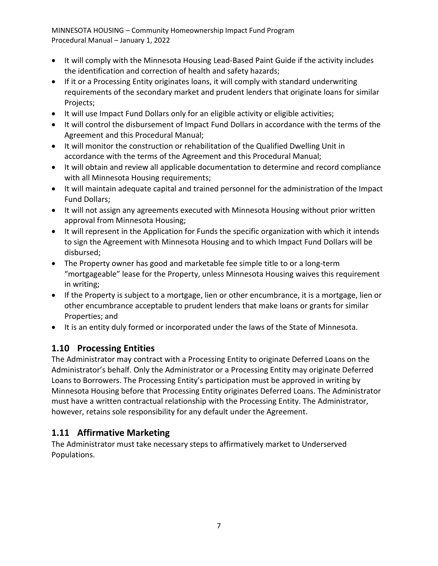- It will comply with the Minnesota Housing Lead-Based Paint Guide if the activity includes the identification and correction of health and safety hazards;
- If it or a Processing Entity originates loans, it will comply with standard underwriting requirements of the secondary market and prudent lenders that originate loans for similar Projects;
- It will use Impact Fund Dollars only for an eligible activity or eligible activities;
- It will control the disbursement of Impact Fund Dollars in accordance with the terms of the Agreement and this Procedural Manual;
- It will monitor the construction or rehabilitation of the Qualified Dwelling Unit in accordance with the terms of the Agreement and this Procedural Manual;
- It will obtain and review all applicable documentation to determine and record compliance with all Minnesota Housing requirements;
- It will maintain adequate capital and trained personnel for the administration of the Impact Fund Dollars;
- It will not assign any agreements executed with Minnesota Housing without prior written approval from Minnesota Housing;
- It will represent in the Application for Funds the specific organization with which it intends to sign the Agreement with Minnesota Housing and to which Impact Fund Dollars will be disbursed;
- The Property owner has good and marketable fee simple title to or a long-term "mortgageable" lease for the Property, unless Minnesota Housing waives this requirement in writing;
- If the Property is subject to a mortgage, lien or other encumbrance, it is a mortgage, lien or other encumbrance acceptable to prudent lenders that make loans or grants for similar Properties; and
- It is an entity duly formed or incorporated under the laws of the State of Minnesota.

## <span id="page-11-0"></span>**1.10 Processing Entities**

The Administrator may contract with a Processing Entity to originate Deferred Loans on the Administrator's behalf. Only the Administrator or a Processing Entity may originate Deferred Loans to Borrowers. The Processing Entity's participation must be approved in writing by Minnesota Housing before that Processing Entity originates Deferred Loans. The Administrator must have a written contractual relationship with the Processing Entity. The Administrator, however, retains sole responsibility for any default under the Agreement.

## <span id="page-11-1"></span>**1.11 Affirmative Marketing**

The Administrator must take necessary steps to affirmatively market to Underserved Populations.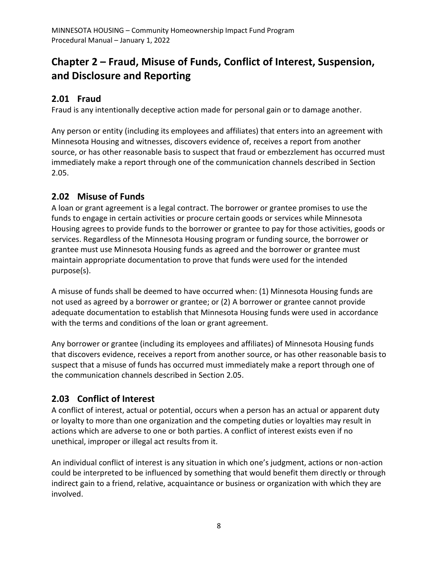# <span id="page-12-0"></span>**Chapter 2 – Fraud, Misuse of Funds, Conflict of Interest, Suspension, and Disclosure and Reporting**

## <span id="page-12-1"></span>**2.01 Fraud**

Fraud is any intentionally deceptive action made for personal gain or to damage another.

Any person or entity (including its employees and affiliates) that enters into an agreement with Minnesota Housing and witnesses, discovers evidence of, receives a report from another source, or has other reasonable basis to suspect that fraud or embezzlement has occurred must immediately make a report through one of the communication channels described in Section 2.05.

## <span id="page-12-2"></span>**2.02 Misuse of Funds**

A loan or grant agreement is a legal contract. The borrower or grantee promises to use the funds to engage in certain activities or procure certain goods or services while Minnesota Housing agrees to provide funds to the borrower or grantee to pay for those activities, goods or services. Regardless of the Minnesota Housing program or funding source, the borrower or grantee must use Minnesota Housing funds as agreed and the borrower or grantee must maintain appropriate documentation to prove that funds were used for the intended purpose(s).

A misuse of funds shall be deemed to have occurred when: (1) Minnesota Housing funds are not used as agreed by a borrower or grantee; or (2) A borrower or grantee cannot provide adequate documentation to establish that Minnesota Housing funds were used in accordance with the terms and conditions of the loan or grant agreement.

Any borrower or grantee (including its employees and affiliates) of Minnesota Housing funds that discovers evidence, receives a report from another source, or has other reasonable basis to suspect that a misuse of funds has occurred must immediately make a report through one of the communication channels described in Section 2.05.

## <span id="page-12-3"></span>**2.03 Conflict of Interest**

A conflict of interest, actual or potential, occurs when a person has an actual or apparent duty or loyalty to more than one organization and the competing duties or loyalties may result in actions which are adverse to one or both parties. A conflict of interest exists even if no unethical, improper or illegal act results from it.

An individual conflict of interest is any situation in which one's judgment, actions or non-action could be interpreted to be influenced by something that would benefit them directly or through indirect gain to a friend, relative, acquaintance or business or organization with which they are involved.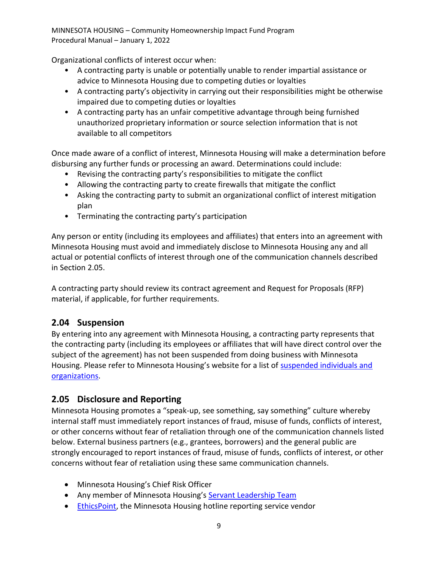Organizational conflicts of interest occur when:

- A contracting party is unable or potentially unable to render impartial assistance or advice to Minnesota Housing due to competing duties or loyalties
- A contracting party's objectivity in carrying out their responsibilities might be otherwise impaired due to competing duties or loyalties
- A contracting party has an unfair competitive advantage through being furnished unauthorized proprietary information or source selection information that is not available to all competitors

Once made aware of a conflict of interest, Minnesota Housing will make a determination before disbursing any further funds or processing an award. Determinations could include:

- Revising the contracting party's responsibilities to mitigate the conflict
- Allowing the contracting party to create firewalls that mitigate the conflict
- Asking the contracting party to submit an organizational conflict of interest mitigation plan
- Terminating the contracting party's participation

Any person or entity (including its employees and affiliates) that enters into an agreement with Minnesota Housing must avoid and immediately disclose to Minnesota Housing any and all actual or potential conflicts of interest through one of the communication channels described in Section 2.05.

A contracting party should review its contract agreement and Request for Proposals (RFP) material, if applicable, for further requirements.

## <span id="page-13-0"></span>**2.04 Suspension**

By entering into any agreement with Minnesota Housing, a contracting party represents that the contracting party (including its employees or affiliates that will have direct control over the subject of the agreement) has not been suspended from doing business with Minnesota Housing. Please refer to Minnesota Housing's website for a list of suspended individuals and [organizations.](http://www.mnhousing.gov/sites/np/suspensions)

## <span id="page-13-1"></span>**2.05 Disclosure and Reporting**

Minnesota Housing promotes a "speak-up, see something, say something" culture whereby internal staff must immediately report instances of fraud, misuse of funds, conflicts of interest, or other concerns without fear of retaliation through one of the communication channels listed below. External business partners (e.g., grantees, borrowers) and the general public are strongly encouraged to report instances of fraud, misuse of funds, conflicts of interest, or other concerns without fear of retaliation using these same communication channels.

- Minnesota Housing's Chief Risk Officer
- Any member of Minnesota Housing's [Servant Leadership Team](http://www.mnhousing.gov/sites/np/leadership)
- [EthicsPoint,](https://secure.ethicspoint.com/domain/media/en/gui/30639/index.html) the Minnesota Housing hotline reporting service vendor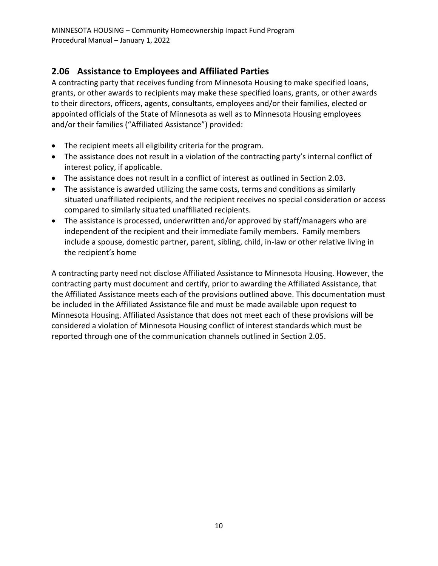## <span id="page-14-0"></span>**2.06 Assistance to Employees and Affiliated Parties**

A contracting party that receives funding from Minnesota Housing to make specified loans, grants, or other awards to recipients may make these specified loans, grants, or other awards to their directors, officers, agents, consultants, employees and/or their families, elected or appointed officials of the State of Minnesota as well as to Minnesota Housing employees and/or their families ("Affiliated Assistance") provided:

- The recipient meets all eligibility criteria for the program.
- The assistance does not result in a violation of the contracting party's internal conflict of interest policy, if applicable.
- The assistance does not result in a conflict of interest as outlined in Section 2.03.
- The assistance is awarded utilizing the same costs, terms and conditions as similarly situated unaffiliated recipients, and the recipient receives no special consideration or access compared to similarly situated unaffiliated recipients.
- The assistance is processed, underwritten and/or approved by staff/managers who are independent of the recipient and their immediate family members. Family members include a spouse, domestic partner, parent, sibling, child, in-law or other relative living in the recipient's home

A contracting party need not disclose Affiliated Assistance to Minnesota Housing. However, the contracting party must document and certify, prior to awarding the Affiliated Assistance, that the Affiliated Assistance meets each of the provisions outlined above. This documentation must be included in the Affiliated Assistance file and must be made available upon request to Minnesota Housing. Affiliated Assistance that does not meet each of these provisions will be considered a violation of Minnesota Housing conflict of interest standards which must be reported through one of the communication channels outlined in Section 2.05.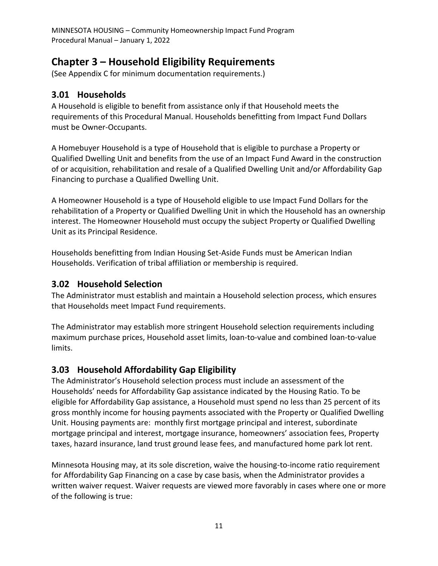# <span id="page-15-0"></span>**Chapter 3 – Household Eligibility Requirements**

(See Appendix C for minimum documentation requirements.)

#### <span id="page-15-1"></span>**3.01 Households**

A Household is eligible to benefit from assistance only if that Household meets the requirements of this Procedural Manual. Households benefitting from Impact Fund Dollars must be Owner-Occupants.

A Homebuyer Household is a type of Household that is eligible to purchase a Property or Qualified Dwelling Unit and benefits from the use of an Impact Fund Award in the construction of or acquisition, rehabilitation and resale of a Qualified Dwelling Unit and/or Affordability Gap Financing to purchase a Qualified Dwelling Unit.

A Homeowner Household is a type of Household eligible to use Impact Fund Dollars for the rehabilitation of a Property or Qualified Dwelling Unit in which the Household has an ownership interest. The Homeowner Household must occupy the subject Property or Qualified Dwelling Unit as its Principal Residence.

Households benefitting from Indian Housing Set-Aside Funds must be American Indian Households. Verification of tribal affiliation or membership is required.

#### <span id="page-15-2"></span>**3.02 Household Selection**

The Administrator must establish and maintain a Household selection process, which ensures that Households meet Impact Fund requirements.

The Administrator may establish more stringent Household selection requirements including maximum purchase prices, Household asset limits, loan-to-value and combined loan-to-value limits.

## <span id="page-15-3"></span>**3.03 Household Affordability Gap Eligibility**

The Administrator's Household selection process must include an assessment of the Households' needs for Affordability Gap assistance indicated by the Housing Ratio. To be eligible for Affordability Gap assistance, a Household must spend no less than 25 percent of its gross monthly income for housing payments associated with the Property or Qualified Dwelling Unit. Housing payments are: monthly first mortgage principal and interest, subordinate mortgage principal and interest, mortgage insurance, homeowners' association fees, Property taxes, hazard insurance, land trust ground lease fees, and manufactured home park lot rent.

Minnesota Housing may, at its sole discretion, waive the housing-to-income ratio requirement for Affordability Gap Financing on a case by case basis, when the Administrator provides a written waiver request. Waiver requests are viewed more favorably in cases where one or more of the following is true: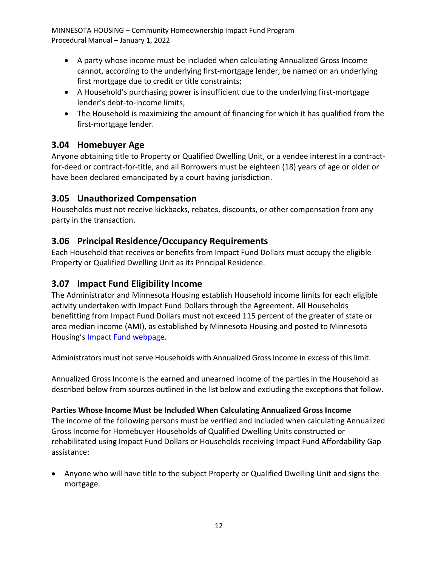- A party whose income must be included when calculating Annualized Gross Income cannot, according to the underlying first-mortgage lender, be named on an underlying first mortgage due to credit or title constraints;
- A Household's purchasing power is insufficient due to the underlying first-mortgage lender's debt-to-income limits;
- The Household is maximizing the amount of financing for which it has qualified from the first-mortgage lender.

## <span id="page-16-0"></span>**3.04 Homebuyer Age**

Anyone obtaining title to Property or Qualified Dwelling Unit, or a vendee interest in a contractfor-deed or contract-for-title, and all Borrowers must be eighteen (18) years of age or older or have been declared emancipated by a court having jurisdiction.

## <span id="page-16-1"></span>**3.05 Unauthorized Compensation**

Households must not receive kickbacks, rebates, discounts, or other compensation from any party in the transaction.

## <span id="page-16-2"></span>**3.06 Principal Residence/Occupancy Requirements**

Each Household that receives or benefits from Impact Fund Dollars must occupy the eligible Property or Qualified Dwelling Unit as its Principal Residence.

## <span id="page-16-3"></span>**3.07 Impact Fund Eligibility Income**

The Administrator and Minnesota Housing establish Household income limits for each eligible activity undertaken with Impact Fund Dollars through the Agreement. All Households benefitting from Impact Fund Dollars must not exceed 115 percent of the greater of state or area median income (AMI), as established by Minnesota Housing and posted to Minnesota Housing's [Impact Fund webpage.](http://mnhousing.gov/wcs/Satellite?c=Page&cid=1358906164357&pagename=External%2FPage%2FEXTStandardLayout)

Administrators must not serve Households with Annualized Gross Income in excess of thislimit.

Annualized Gross Income is the earned and unearned income of the parties in the Household as described below from sources outlined in the list below and excluding the exceptions that follow.

#### **Parties Whose Income Must be Included When Calculating Annualized Gross Income**

The income of the following persons must be verified and included when calculating Annualized Gross Income for Homebuyer Households of Qualified Dwelling Units constructed or rehabilitated using Impact Fund Dollars or Households receiving Impact Fund Affordability Gap assistance:

• Anyone who will have title to the subject Property or Qualified Dwelling Unit and signs the mortgage.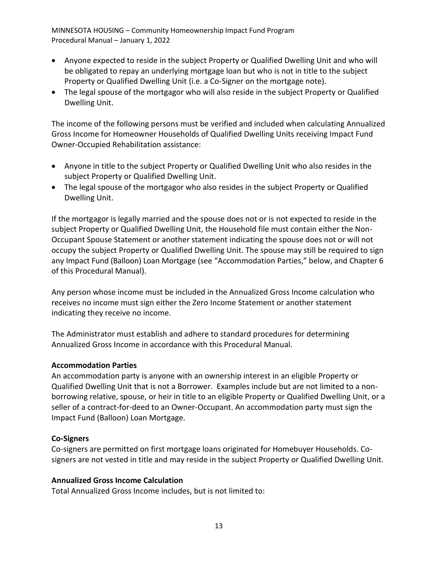- Anyone expected to reside in the subject Property or Qualified Dwelling Unit and who will be obligated to repay an underlying mortgage loan but who is not in title to the subject Property or Qualified Dwelling Unit (i.e. a Co-Signer on the mortgage note).
- The legal spouse of the mortgagor who will also reside in the subject Property or Qualified Dwelling Unit.

The income of the following persons must be verified and included when calculating Annualized Gross Income for Homeowner Households of Qualified Dwelling Units receiving Impact Fund Owner-Occupied Rehabilitation assistance:

- Anyone in title to the subject Property or Qualified Dwelling Unit who also resides in the subject Property or Qualified Dwelling Unit.
- The legal spouse of the mortgagor who also resides in the subject Property or Qualified Dwelling Unit.

If the mortgagor is legally married and the spouse does not or is not expected to reside in the subject Property or Qualified Dwelling Unit, the Household file must contain either the Non-Occupant Spouse Statement or another statement indicating the spouse does not or will not occupy the subject Property or Qualified Dwelling Unit. The spouse may still be required to sign any Impact Fund (Balloon) Loan Mortgage (see "Accommodation Parties," below, and Chapter 6 of this Procedural Manual).

Any person whose income must be included in the Annualized Gross Income calculation who receives no income must sign either the Zero Income Statement or another statement indicating they receive no income.

The Administrator must establish and adhere to standard procedures for determining Annualized Gross Income in accordance with this Procedural Manual.

#### **Accommodation Parties**

An accommodation party is anyone with an ownership interest in an eligible Property or Qualified Dwelling Unit that is not a Borrower. Examples include but are not limited to a nonborrowing relative, spouse, or heir in title to an eligible Property or Qualified Dwelling Unit, or a seller of a contract-for-deed to an Owner-Occupant. An accommodation party must sign the Impact Fund (Balloon) Loan Mortgage.

#### **Co-Signers**

Co-signers are permitted on first mortgage loans originated for Homebuyer Households. Cosigners are not vested in title and may reside in the subject Property or Qualified Dwelling Unit.

#### **Annualized Gross Income Calculation**

Total Annualized Gross Income includes, but is not limited to: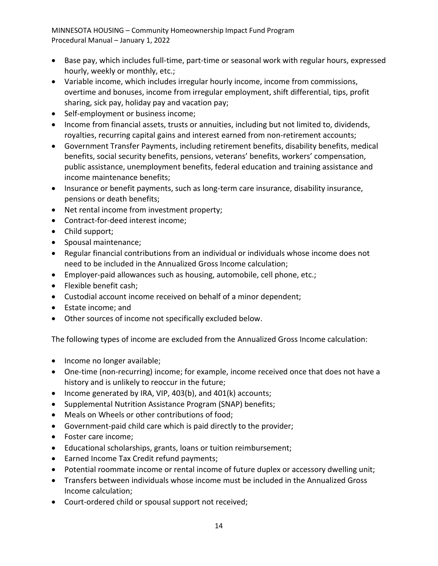- Base pay, which includes full-time, part-time or seasonal work with regular hours, expressed hourly, weekly or monthly, etc.;
- Variable income, which includes irregular hourly income, income from commissions, overtime and bonuses, income from irregular employment, shift differential, tips, profit sharing, sick pay, holiday pay and vacation pay;
- Self-employment or business income;
- Income from financial assets, trusts or annuities, including but not limited to, dividends, royalties, recurring capital gains and interest earned from non-retirement accounts;
- Government Transfer Payments, including retirement benefits, disability benefits, medical benefits, social security benefits, pensions, veterans' benefits, workers' compensation, public assistance, unemployment benefits, federal education and training assistance and income maintenance benefits;
- Insurance or benefit payments, such as long-term care insurance, disability insurance, pensions or death benefits;
- Net rental income from investment property;
- Contract-for-deed interest income;
- Child support;
- Spousal maintenance;
- Regular financial contributions from an individual or individuals whose income does not need to be included in the Annualized Gross Income calculation;
- Employer-paid allowances such as housing, automobile, cell phone, etc.;
- Flexible benefit cash;
- Custodial account income received on behalf of a minor dependent;
- Estate income; and
- Other sources of income not specifically excluded below.

The following types of income are excluded from the Annualized Gross Income calculation:

- Income no longer available;
- One-time (non-recurring) income; for example, income received once that does not have a history and is unlikely to reoccur in the future;
- Income generated by IRA, VIP, 403(b), and 401(k) accounts;
- Supplemental Nutrition Assistance Program (SNAP) benefits;
- Meals on Wheels or other contributions of food;
- Government-paid child care which is paid directly to the provider;
- Foster care income;
- Educational scholarships, grants, loans or tuition reimbursement;
- Earned Income Tax Credit refund payments;
- Potential roommate income or rental income of future duplex or accessory dwelling unit;
- Transfers between individuals whose income must be included in the Annualized Gross Income calculation;
- Court-ordered child or spousal support not received;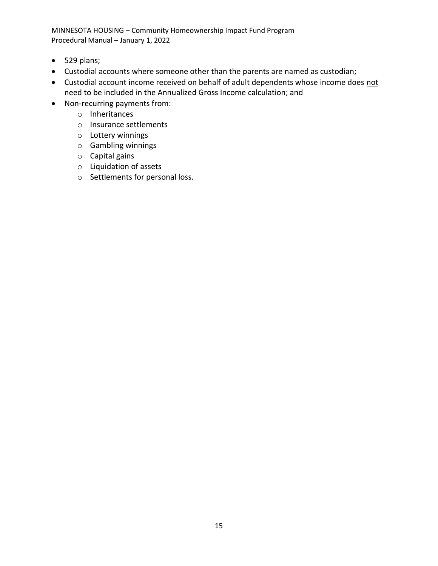- 529 plans;
- Custodial accounts where someone other than the parents are named as custodian;
- Custodial account income received on behalf of adult dependents whose income does not need to be included in the Annualized Gross Income calculation; and
- Non-recurring payments from:
	- o Inheritances
	- o Insurance settlements
	- o Lottery winnings
	- o Gambling winnings
	- o Capital gains
	- o Liquidation of assets
	- o Settlements for personal loss.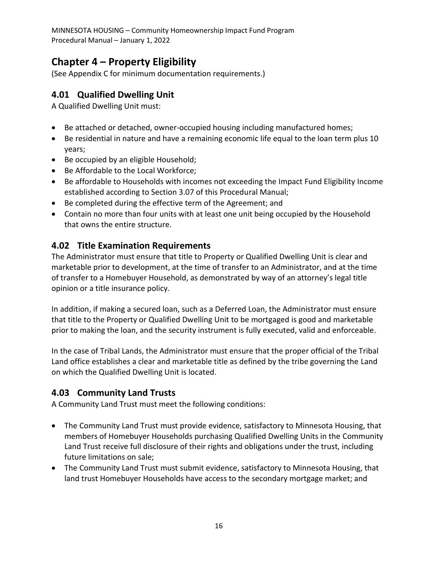# <span id="page-20-0"></span>**Chapter 4 – Property Eligibility**

(See Appendix C for minimum documentation requirements.)

#### <span id="page-20-1"></span>**4.01 Qualified Dwelling Unit**

A Qualified Dwelling Unit must:

- Be attached or detached, owner-occupied housing including manufactured homes;
- Be residential in nature and have a remaining economic life equal to the loan term plus 10 years;
- Be occupied by an eligible Household;
- Be Affordable to the Local Workforce;
- Be affordable to Households with incomes not exceeding the Impact Fund Eligibility Income established according to Section 3.07 of this Procedural Manual;
- Be completed during the effective term of the Agreement; and
- Contain no more than four units with at least one unit being occupied by the Household that owns the entire structure.

#### <span id="page-20-2"></span>**4.02 Title Examination Requirements**

The Administrator must ensure that title to Property or Qualified Dwelling Unit is clear and marketable prior to development, at the time of transfer to an Administrator, and at the time of transfer to a Homebuyer Household, as demonstrated by way of an attorney's legal title opinion or a title insurance policy.

In addition, if making a secured loan, such as a Deferred Loan, the Administrator must ensure that title to the Property or Qualified Dwelling Unit to be mortgaged is good and marketable prior to making the loan, and the security instrument is fully executed, valid and enforceable.

In the case of Tribal Lands, the Administrator must ensure that the proper official of the Tribal Land office establishes a clear and marketable title as defined by the tribe governing the Land on which the Qualified Dwelling Unit is located.

## <span id="page-20-3"></span>**4.03 Community Land Trusts**

A Community Land Trust must meet the following conditions:

- The Community Land Trust must provide evidence, satisfactory to Minnesota Housing, that members of Homebuyer Households purchasing Qualified Dwelling Units in the Community Land Trust receive full disclosure of their rights and obligations under the trust, including future limitations on sale;
- The Community Land Trust must submit evidence, satisfactory to Minnesota Housing, that land trust Homebuyer Households have access to the secondary mortgage market; and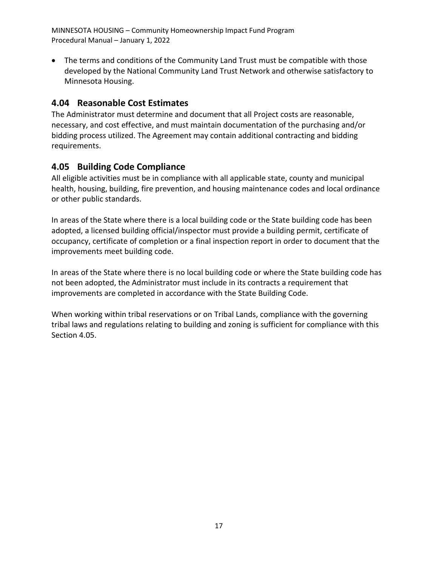• The terms and conditions of the Community Land Trust must be compatible with those developed by the National Community Land Trust Network and otherwise satisfactory to Minnesota Housing.

## <span id="page-21-0"></span>**4.04 Reasonable Cost Estimates**

The Administrator must determine and document that all Project costs are reasonable, necessary, and cost effective, and must maintain documentation of the purchasing and/or bidding process utilized. The Agreement may contain additional contracting and bidding requirements.

## <span id="page-21-1"></span>**4.05 Building Code Compliance**

All eligible activities must be in compliance with all applicable state, county and municipal health, housing, building, fire prevention, and housing maintenance codes and local ordinance or other public standards.

In areas of the State where there is a local building code or the State building code has been adopted, a licensed building official/inspector must provide a building permit, certificate of occupancy, certificate of completion or a final inspection report in order to document that the improvements meet building code.

In areas of the State where there is no local building code or where the State building code has not been adopted, the Administrator must include in its contracts a requirement that improvements are completed in accordance with the State Building Code.

When working within tribal reservations or on Tribal Lands, compliance with the governing tribal laws and regulations relating to building and zoning is sufficient for compliance with this Section 4.05.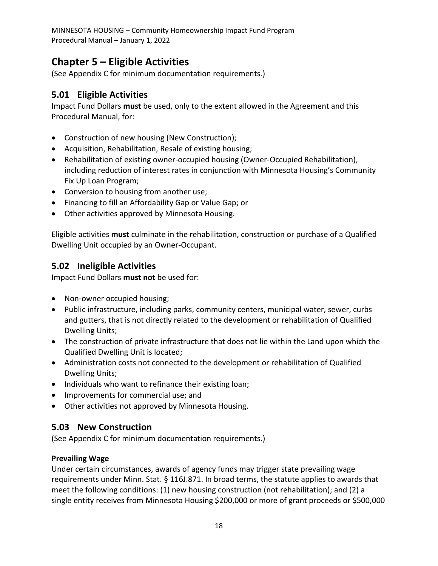# <span id="page-22-0"></span>**Chapter 5 – Eligible Activities**

(See Appendix C for minimum documentation requirements.)

## <span id="page-22-1"></span>**5.01 Eligible Activities**

Impact Fund Dollars **must** be used, only to the extent allowed in the Agreement and this Procedural Manual, for:

- Construction of new housing (New Construction);
- Acquisition, Rehabilitation, Resale of existing housing;
- Rehabilitation of existing owner-occupied housing (Owner-Occupied Rehabilitation), including reduction of interest rates in conjunction with Minnesota Housing's Community Fix Up Loan Program;
- Conversion to housing from another use;
- Financing to fill an Affordability Gap or Value Gap; or
- Other activities approved by Minnesota Housing.

Eligible activities **must** culminate in the rehabilitation, construction or purchase of a Qualified Dwelling Unit occupied by an Owner-Occupant.

## <span id="page-22-2"></span>**5.02 Ineligible Activities**

Impact Fund Dollars **must not** be used for:

- Non-owner occupied housing;
- Public infrastructure, including parks, community centers, municipal water, sewer, curbs and gutters, that is not directly related to the development or rehabilitation of Qualified Dwelling Units;
- The construction of private infrastructure that does not lie within the Land upon which the Qualified Dwelling Unit is located;
- Administration costs not connected to the development or rehabilitation of Qualified Dwelling Units;
- Individuals who want to refinance their existing loan;
- Improvements for commercial use; and
- Other activities not approved by Minnesota Housing.

## <span id="page-22-3"></span>**5.03 New Construction**

(See Appendix C for minimum documentation requirements.)

#### **Prevailing Wage**

Under certain circumstances, awards of agency funds may trigger state prevailing wage requirements under Minn. Stat. § 116J.871. In broad terms, the statute applies to awards that meet the following conditions: (1) new housing construction (not rehabilitation); and (2) a single entity receives from Minnesota Housing \$200,000 or more of grant proceeds or \$500,000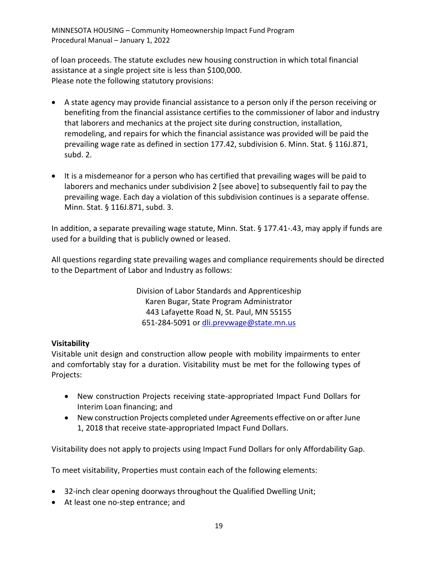of loan proceeds. The statute excludes new housing construction in which total financial assistance at a single project site is less than \$100,000. Please note the following statutory provisions:

- A state agency may provide financial assistance to a person only if the person receiving or benefiting from the financial assistance certifies to the commissioner of labor and industry that laborers and mechanics at the project site during construction, installation, remodeling, and repairs for which the financial assistance was provided will be paid the prevailing wage rate as defined in section 177.42, subdivision 6. Minn. Stat. § 116J.871, subd. 2.
- It is a misdemeanor for a person who has certified that prevailing wages will be paid to laborers and mechanics under subdivision 2 [see above] to subsequently fail to pay the prevailing wage. Each day a violation of this subdivision continues is a separate offense. Minn. Stat. § 116J.871, subd. 3.

In addition, a separate prevailing wage statute, Minn. Stat. § 177.41-.43, may apply if funds are used for a building that is publicly owned or leased.

All questions regarding state prevailing wages and compliance requirements should be directed to the Department of Labor and Industry as follows:

> Division of Labor Standards and Apprenticeship Karen Bugar, State Program Administrator 443 Lafayette Road N, St. Paul, MN 55155 651-284-5091 or [dli.prevwage@state.mn.us](mailto:dli.prevwage@state.mn.us)

#### **Visitability**

Visitable unit design and construction allow people with mobility impairments to enter and comfortably stay for a duration. Visitability must be met for the following types of Projects:

- New construction Projects receiving state-appropriated Impact Fund Dollars for Interim Loan financing; and
- New construction Projects completed under Agreements effective on or after June 1, 2018 that receive state-appropriated Impact Fund Dollars.

Visitability does not apply to projects using Impact Fund Dollars for only Affordability Gap.

To meet visitability, Properties must contain each of the following elements:

- 32-inch clear opening doorways throughout the Qualified Dwelling Unit;
- At least one no-step entrance; and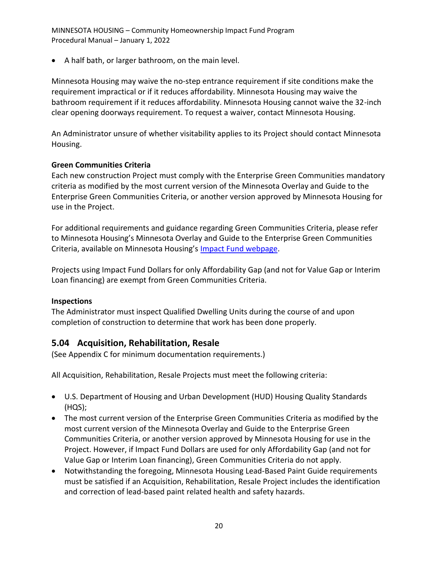• A half bath, or larger bathroom, on the main level.

Minnesota Housing may waive the no-step entrance requirement if site conditions make the requirement impractical or if it reduces affordability. Minnesota Housing may waive the bathroom requirement if it reduces affordability. Minnesota Housing cannot waive the 32-inch clear opening doorways requirement. To request a waiver, contact Minnesota Housing.

An Administrator unsure of whether visitability applies to its Project should contact Minnesota Housing.

#### **Green Communities Criteria**

Each new construction Project must comply with the Enterprise Green Communities mandatory criteria as modified by the most current version of the Minnesota Overlay and Guide to the Enterprise Green Communities Criteria, or another version approved by Minnesota Housing for use in the Project.

For additional requirements and guidance regarding Green Communities Criteria, please refer to Minnesota Housing's Minnesota Overlay and Guide to the Enterprise Green Communities Criteria, available on Minnesota Housing's [Impact Fund webpage.](https://www.mnhousing.gov/sites/np/impactfund)

Projects using Impact Fund Dollars for only Affordability Gap (and not for Value Gap or Interim Loan financing) are exempt from Green Communities Criteria.

#### **Inspections**

The Administrator must inspect Qualified Dwelling Units during the course of and upon completion of construction to determine that work has been done properly.

## <span id="page-24-0"></span>**5.04 Acquisition, Rehabilitation, Resale**

(See Appendix C for minimum documentation requirements.)

All Acquisition, Rehabilitation, Resale Projects must meet the following criteria:

- U.S. Department of Housing and Urban Development (HUD) Housing Quality Standards (HQS);
- The most current version of the Enterprise Green Communities Criteria as modified by the most current version of the Minnesota Overlay and Guide to the Enterprise Green Communities Criteria, or another version approved by Minnesota Housing for use in the Project. However, if Impact Fund Dollars are used for only Affordability Gap (and not for Value Gap or Interim Loan financing), Green Communities Criteria do not apply.
- Notwithstanding the foregoing, Minnesota Housing Lead-Based Paint Guide requirements must be satisfied if an Acquisition, Rehabilitation, Resale Project includes the identification and correction of lead-based paint related health and safety hazards.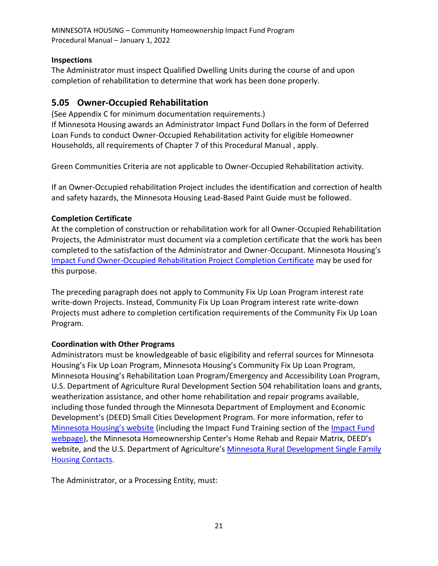#### **Inspections**

The Administrator must inspect Qualified Dwelling Units during the course of and upon completion of rehabilitation to determine that work has been done properly.

## <span id="page-25-0"></span>**5.05 Owner-Occupied Rehabilitation**

(See Appendix C for minimum documentation requirements.) If Minnesota Housing awards an Administrator Impact Fund Dollars in the form of Deferred Loan Funds to conduct Owner-Occupied Rehabilitation activity for eligible Homeowner Households, all requirements of Chapter 7 of this Procedural Manual , apply.

Green Communities Criteria are not applicable to Owner-Occupied Rehabilitation activity.

If an Owner-Occupied rehabilitation Project includes the identification and correction of health and safety hazards, the Minnesota Housing Lead-Based Paint Guide must be followed.

#### **Completion Certificate**

At the completion of construction or rehabilitation work for all Owner-Occupied Rehabilitation Projects, the Administrator must document via a completion certificate that the work has been completed to the satisfaction of the Administrator and Owner-Occupant. Minnesota Housing's [Impact Fund Owner-Occupied Rehabilitation Project Completion Certificate](http://www.mnhousing.gov/get/MHFA_1043056) may be used for this purpose.

The preceding paragraph does not apply to Community Fix Up Loan Program interest rate write-down Projects. Instead, Community Fix Up Loan Program interest rate write-down Projects must adhere to completion certification requirements of the Community Fix Up Loan Program.

#### **Coordination with Other Programs**

Administrators must be knowledgeable of basic eligibility and referral sources for Minnesota Housing's Fix Up Loan Program, Minnesota Housing's Community Fix Up Loan Program, Minnesota Housing's Rehabilitation Loan Program/Emergency and Accessibility Loan Program, U.S. Department of Agriculture Rural Development Section 504 rehabilitation loans and grants, weatherization assistance, and other home rehabilitation and repair programs available, including those funded through the Minnesota Department of Employment and Economic Development's (DEED) Small Cities Development Program. For more information, refer to [Minnesota Housing's website](https://www.mnhousing.gov/sites/lenders/homeimprovement) (including the [Impact Fund](https://www.mnhousing.gov/sites/np/impactfund) Training section of the *Impact Fund* [webpage](https://www.mnhousing.gov/sites/np/impactfund)), the Minnesota Homeownership Center's Home Rehab and Repair Matrix, DEED's website, and the U.S. Department of Agriculture's Minnesota Rural Development Single Family **[Housing Contacts.](http://www.mnhousing.gov/get/MHFA_1042115)** 

The Administrator, or a Processing Entity, must: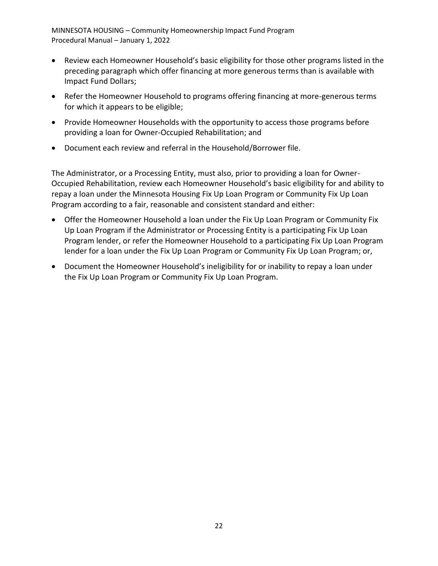- Review each Homeowner Household's basic eligibility for those other programs listed in the preceding paragraph which offer financing at more generous terms than is available with Impact Fund Dollars;
- Refer the Homeowner Household to programs offering financing at more-generous terms for which it appears to be eligible;
- Provide Homeowner Households with the opportunity to access those programs before providing a loan for Owner-Occupied Rehabilitation; and
- Document each review and referral in the Household/Borrower file.

The Administrator, or a Processing Entity, must also, prior to providing a loan for Owner-Occupied Rehabilitation, review each Homeowner Household's basic eligibility for and ability to repay a loan under the Minnesota Housing Fix Up Loan Program or Community Fix Up Loan Program according to a fair, reasonable and consistent standard and either:

- Offer the Homeowner Household a loan under the Fix Up Loan Program or Community Fix Up Loan Program if the Administrator or Processing Entity is a participating Fix Up Loan Program lender, or refer the Homeowner Household to a participating Fix Up Loan Program lender for a loan under the Fix Up Loan Program or Community Fix Up Loan Program; or,
- Document the Homeowner Household's ineligibility for or inability to repay a loan under the Fix Up Loan Program or Community Fix Up Loan Program.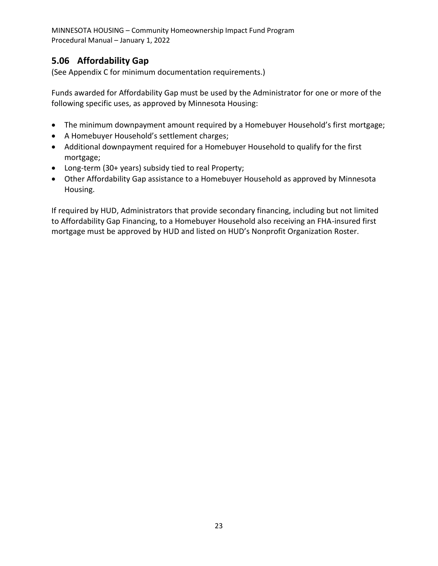## <span id="page-27-0"></span>**5.06 Affordability Gap**

(See Appendix C for minimum documentation requirements.)

Funds awarded for Affordability Gap must be used by the Administrator for one or more of the following specific uses, as approved by Minnesota Housing:

- The minimum downpayment amount required by a Homebuyer Household's first mortgage;
- A Homebuyer Household's settlement charges;
- Additional downpayment required for a Homebuyer Household to qualify for the first mortgage;
- Long-term (30+ years) subsidy tied to real Property;
- Other Affordability Gap assistance to a Homebuyer Household as approved by Minnesota Housing.

If required by HUD, Administrators that provide secondary financing, including but not limited to Affordability Gap Financing, to a Homebuyer Household also receiving an FHA-insured first mortgage must be approved by HUD and listed on HUD's Nonprofit Organization Roster.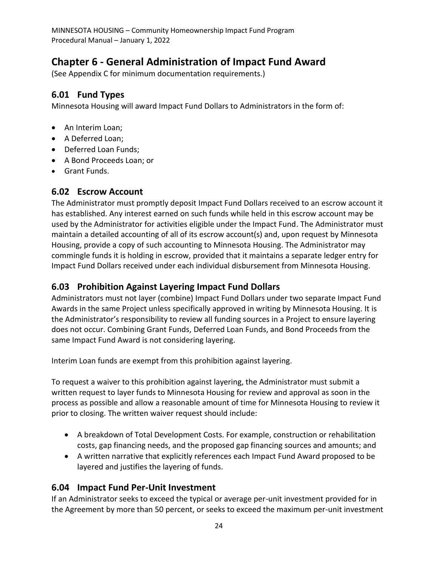# <span id="page-28-0"></span>**Chapter 6 - General Administration of Impact Fund Award**

(See Appendix C for minimum documentation requirements.)

## <span id="page-28-1"></span>**6.01 Fund Types**

Minnesota Housing will award Impact Fund Dollars to Administrators in the form of:

- An Interim Loan;
- A Deferred Loan;
- Deferred Loan Funds;
- A Bond Proceeds Loan; or
- Grant Funds.

## <span id="page-28-2"></span>**6.02 Escrow Account**

The Administrator must promptly deposit Impact Fund Dollars received to an escrow account it has established. Any interest earned on such funds while held in this escrow account may be used by the Administrator for activities eligible under the Impact Fund. The Administrator must maintain a detailed accounting of all of its escrow account(s) and, upon request by Minnesota Housing, provide a copy of such accounting to Minnesota Housing. The Administrator may commingle funds it is holding in escrow, provided that it maintains a separate ledger entry for Impact Fund Dollars received under each individual disbursement from Minnesota Housing.

## <span id="page-28-3"></span>**6.03 Prohibition Against Layering Impact Fund Dollars**

Administrators must not layer (combine) Impact Fund Dollars under two separate Impact Fund Awards in the same Project unless specifically approved in writing by Minnesota Housing. It is the Administrator's responsibility to review all funding sources in a Project to ensure layering does not occur. Combining Grant Funds, Deferred Loan Funds, and Bond Proceeds from the same Impact Fund Award is not considering layering.

Interim Loan funds are exempt from this prohibition against layering.

To request a waiver to this prohibition against layering, the Administrator must submit a written request to layer funds to Minnesota Housing for review and approval as soon in the process as possible and allow a reasonable amount of time for Minnesota Housing to review it prior to closing. The written waiver request should include:

- A breakdown of Total Development Costs. For example, construction or rehabilitation costs, gap financing needs, and the proposed gap financing sources and amounts; and
- A written narrative that explicitly references each Impact Fund Award proposed to be layered and justifies the layering of funds.

## <span id="page-28-4"></span>**6.04 Impact Fund Per-Unit Investment**

If an Administrator seeks to exceed the typical or average per-unit investment provided for in the Agreement by more than 50 percent, or seeks to exceed the maximum per-unit investment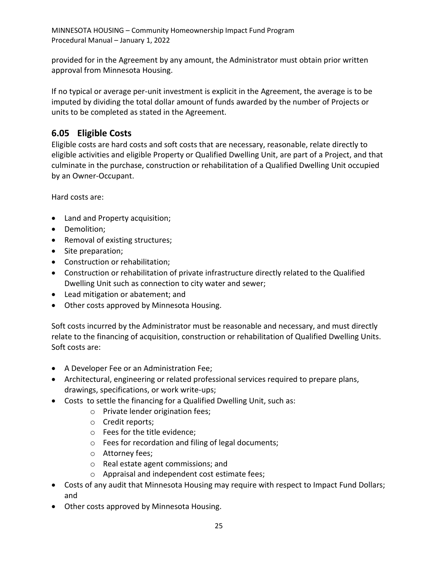provided for in the Agreement by any amount, the Administrator must obtain prior written approval from Minnesota Housing.

If no typical or average per-unit investment is explicit in the Agreement, the average is to be imputed by dividing the total dollar amount of funds awarded by the number of Projects or units to be completed as stated in the Agreement.

## <span id="page-29-0"></span>**6.05 Eligible Costs**

Eligible costs are hard costs and soft costs that are necessary, reasonable, relate directly to eligible activities and eligible Property or Qualified Dwelling Unit, are part of a Project, and that culminate in the purchase, construction or rehabilitation of a Qualified Dwelling Unit occupied by an Owner-Occupant.

Hard costs are:

- Land and Property acquisition;
- Demolition;
- Removal of existing structures;
- Site preparation;
- Construction or rehabilitation;
- Construction or rehabilitation of private infrastructure directly related to the Qualified Dwelling Unit such as connection to city water and sewer;
- Lead mitigation or abatement; and
- Other costs approved by Minnesota Housing.

Soft costs incurred by the Administrator must be reasonable and necessary, and must directly relate to the financing of acquisition, construction or rehabilitation of Qualified Dwelling Units. Soft costs are:

- A Developer Fee or an Administration Fee;
- Architectural, engineering or related professional services required to prepare plans, drawings, specifications, or work write-ups;
- Costs to settle the financing for a Qualified Dwelling Unit, such as:
	- o Private lender origination fees;
	- o Credit reports;
	- o Fees for the title evidence;
	- o Fees for recordation and filing of legal documents;
	- o Attorney fees;
	- o Real estate agent commissions; and
	- o Appraisal and independent cost estimate fees;
- Costs of any audit that Minnesota Housing may require with respect to Impact Fund Dollars; and
- Other costs approved by Minnesota Housing.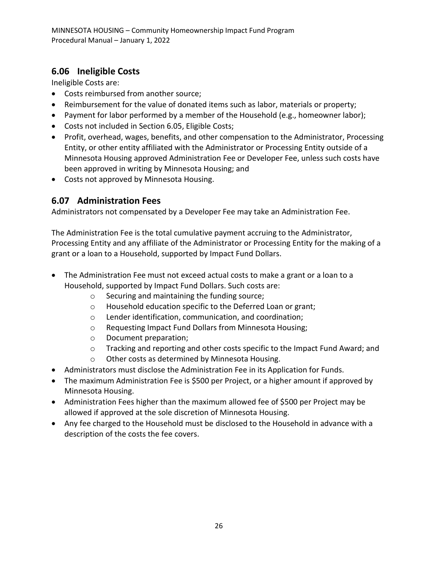## <span id="page-30-0"></span>**6.06 Ineligible Costs**

Ineligible Costs are:

- Costs reimbursed from another source;
- Reimbursement for the value of donated items such as labor, materials or property;
- Payment for labor performed by a member of the Household (e.g., homeowner labor);
- Costs not included in Section 6.05, Eligible Costs;
- Profit, overhead, wages, benefits, and other compensation to the Administrator, Processing Entity, or other entity affiliated with the Administrator or Processing Entity outside of a Minnesota Housing approved Administration Fee or Developer Fee, unless such costs have been approved in writing by Minnesota Housing; and
- Costs not approved by Minnesota Housing.

#### <span id="page-30-1"></span>**6.07 Administration Fees**

Administrators not compensated by a Developer Fee may take an Administration Fee.

The Administration Fee is the total cumulative payment accruing to the Administrator, Processing Entity and any affiliate of the Administrator or Processing Entity for the making of a grant or a loan to a Household, supported by Impact Fund Dollars.

- The Administration Fee must not exceed actual costs to make a grant or a loan to a Household, supported by Impact Fund Dollars. Such costs are:
	- o Securing and maintaining the funding source;
	- o Household education specific to the Deferred Loan or grant;
	- o Lender identification, communication, and coordination;
	- o Requesting Impact Fund Dollars from Minnesota Housing;
	- o Document preparation;
	- o Tracking and reporting and other costs specific to the Impact Fund Award; and
	- o Other costs as determined by Minnesota Housing.
- Administrators must disclose the Administration Fee in its Application for Funds.
- The maximum Administration Fee is \$500 per Project, or a higher amount if approved by Minnesota Housing.
- Administration Fees higher than the maximum allowed fee of \$500 per Project may be allowed if approved at the sole discretion of Minnesota Housing.
- Any fee charged to the Household must be disclosed to the Household in advance with a description of the costs the fee covers.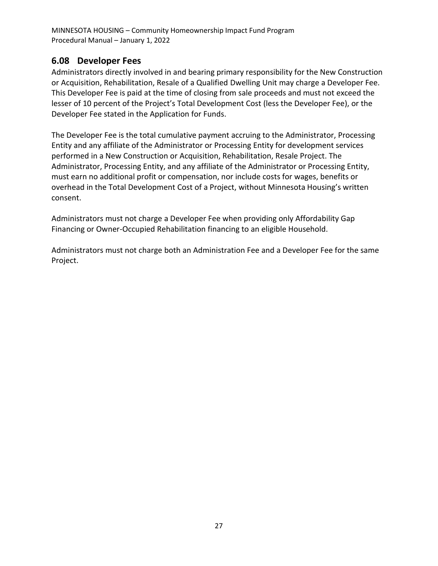#### <span id="page-31-0"></span>**6.08 Developer Fees**

Administrators directly involved in and bearing primary responsibility for the New Construction or Acquisition, Rehabilitation, Resale of a Qualified Dwelling Unit may charge a Developer Fee. This Developer Fee is paid at the time of closing from sale proceeds and must not exceed the lesser of 10 percent of the Project's Total Development Cost (less the Developer Fee), or the Developer Fee stated in the Application for Funds.

The Developer Fee is the total cumulative payment accruing to the Administrator, Processing Entity and any affiliate of the Administrator or Processing Entity for development services performed in a New Construction or Acquisition, Rehabilitation, Resale Project. The Administrator, Processing Entity, and any affiliate of the Administrator or Processing Entity, must earn no additional profit or compensation, nor include costs for wages, benefits or overhead in the Total Development Cost of a Project, without Minnesota Housing's written consent.

Administrators must not charge a Developer Fee when providing only Affordability Gap Financing or Owner-Occupied Rehabilitation financing to an eligible Household.

Administrators must not charge both an Administration Fee and a Developer Fee for the same Project.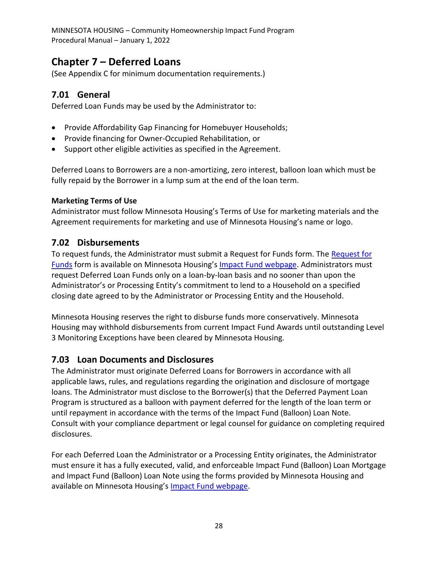# <span id="page-32-0"></span>**Chapter 7 – Deferred Loans**

(See Appendix C for minimum documentation requirements.)

#### <span id="page-32-1"></span>**7.01 General**

Deferred Loan Funds may be used by the Administrator to:

- Provide Affordability Gap Financing for Homebuyer Households;
- Provide financing for Owner-Occupied Rehabilitation, or
- Support other eligible activities as specified in the Agreement.

Deferred Loans to Borrowers are a non-amortizing, zero interest, balloon loan which must be fully repaid by the Borrower in a lump sum at the end of the loan term.

#### **Marketing Terms of Use**

Administrator must follow Minnesota Housing's Terms of Use for marketing materials and the Agreement requirements for marketing and use of Minnesota Housing's name or logo.

#### <span id="page-32-2"></span>**7.02 Disbursements**

To request funds, the Administrator must submit a Request for Funds form. The [Request for](http://www.mnhousing.gov/get/MHFA_013554)  [Funds](http://www.mnhousing.gov/get/MHFA_013554) form is available on Minnesota Housing's [Impact Fund webpage.](http://mnhousing.gov/wcs/Satellite?c=Page&cid=1358906164357&pagename=External%2FPage%2FEXTStandardLayout) Administrators must request Deferred Loan Funds only on a loan-by-loan basis and no sooner than upon the Administrator's or Processing Entity's commitment to lend to a Household on a specified closing date agreed to by the Administrator or Processing Entity and the Household.

Minnesota Housing reserves the right to disburse funds more conservatively. Minnesota Housing may withhold disbursements from current Impact Fund Awards until outstanding Level 3 Monitoring Exceptions have been cleared by Minnesota Housing.

## <span id="page-32-3"></span>**7.03 Loan Documents and Disclosures**

The Administrator must originate Deferred Loans for Borrowers in accordance with all applicable laws, rules, and regulations regarding the origination and disclosure of mortgage loans. The Administrator must disclose to the Borrower(s) that the Deferred Payment Loan Program is structured as a balloon with payment deferred for the length of the loan term or until repayment in accordance with the terms of the Impact Fund (Balloon) Loan Note. Consult with your compliance department or legal counsel for guidance on completing required disclosures.

For each Deferred Loan the Administrator or a Processing Entity originates, the Administrator must ensure it has a fully executed, valid, and enforceable Impact Fund (Balloon) Loan Mortgage and Impact Fund (Balloon) Loan Note using the forms provided by Minnesota Housing and available on Minnesota Housing's [Impact Fund webpage.](http://mnhousing.gov/wcs/Satellite?c=Page&cid=1358906164357&pagename=External%2FPage%2FEXTStandardLayout)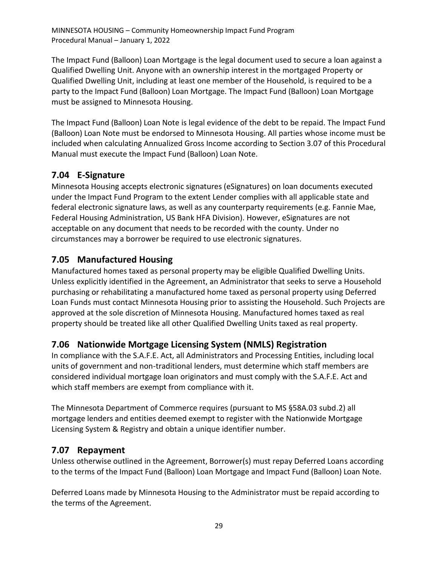The Impact Fund (Balloon) Loan Mortgage is the legal document used to secure a loan against a Qualified Dwelling Unit. Anyone with an ownership interest in the mortgaged Property or Qualified Dwelling Unit, including at least one member of the Household, is required to be a party to the Impact Fund (Balloon) Loan Mortgage. The Impact Fund (Balloon) Loan Mortgage must be assigned to Minnesota Housing.

The Impact Fund (Balloon) Loan Note is legal evidence of the debt to be repaid. The Impact Fund (Balloon) Loan Note must be endorsed to Minnesota Housing. All parties whose income must be included when calculating Annualized Gross Income according to Section 3.07 of this Procedural Manual must execute the Impact Fund (Balloon) Loan Note.

## <span id="page-33-0"></span>**7.04 E-Signature**

Minnesota Housing accepts electronic signatures (eSignatures) on loan documents executed under the Impact Fund Program to the extent Lender complies with all applicable state and federal electronic signature laws, as well as any counterparty requirements (e.g. Fannie Mae, Federal Housing Administration, US Bank HFA Division). However, eSignatures are not acceptable on any document that needs to be recorded with the county. Under no circumstances may a borrower be required to use electronic signatures.

## <span id="page-33-1"></span>**7.05 Manufactured Housing**

Manufactured homes taxed as personal property may be eligible Qualified Dwelling Units. Unless explicitly identified in the Agreement, an Administrator that seeks to serve a Household purchasing or rehabilitating a manufactured home taxed as personal property using Deferred Loan Funds must contact Minnesota Housing prior to assisting the Household. Such Projects are approved at the sole discretion of Minnesota Housing. Manufactured homes taxed as real property should be treated like all other Qualified Dwelling Units taxed as real property.

## <span id="page-33-2"></span>**7.06 Nationwide Mortgage Licensing System (NMLS) Registration**

In compliance with the S.A.F.E. Act, all Administrators and Processing Entities, including local units of government and non-traditional lenders, must determine which staff members are considered individual mortgage loan originators and must comply with the S.A.F.E. Act and which staff members are exempt from compliance with it.

The Minnesota Department of Commerce requires (pursuant to MS §58A.03 subd.2) all mortgage lenders and entities deemed exempt to register with the Nationwide Mortgage Licensing System & Registry and obtain a unique identifier number.

## <span id="page-33-3"></span>**7.07 Repayment**

Unless otherwise outlined in the Agreement, Borrower(s) must repay Deferred Loans according to the terms of the Impact Fund (Balloon) Loan Mortgage and Impact Fund (Balloon) Loan Note.

Deferred Loans made by Minnesota Housing to the Administrator must be repaid according to the terms of the Agreement.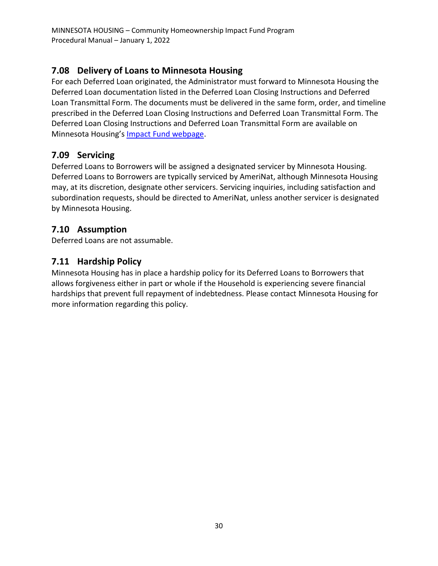## <span id="page-34-0"></span>**7.08 Delivery of Loans to Minnesota Housing**

For each Deferred Loan originated, the Administrator must forward to Minnesota Housing the Deferred Loan documentation listed in the Deferred Loan Closing Instructions and Deferred Loan Transmittal Form. The documents must be delivered in the same form, order, and timeline prescribed in the Deferred Loan Closing Instructions and Deferred Loan Transmittal Form. The Deferred Loan Closing Instructions and Deferred Loan Transmittal Form are available on Minnesota Housing's [Impact Fund webpage.](http://mnhousing.gov/wcs/Satellite?c=Page&cid=1358906164357&pagename=External%2FPage%2FEXTStandardLayout)

## <span id="page-34-1"></span>**7.09 Servicing**

Deferred Loans to Borrowers will be assigned a designated servicer by Minnesota Housing. Deferred Loans to Borrowers are typically serviced by AmeriNat, although Minnesota Housing may, at its discretion, designate other servicers. Servicing inquiries, including satisfaction and subordination requests, should be directed to AmeriNat, unless another servicer is designated by Minnesota Housing.

## <span id="page-34-2"></span>**7.10 Assumption**

Deferred Loans are not assumable.

## <span id="page-34-3"></span>**7.11 Hardship Policy**

Minnesota Housing has in place a hardship policy for its Deferred Loans to Borrowers that allows forgiveness either in part or whole if the Household is experiencing severe financial hardships that prevent full repayment of indebtedness. Please contact Minnesota Housing for more information regarding this policy.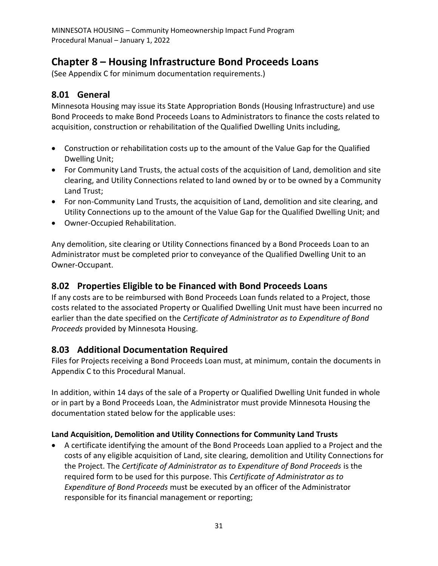# <span id="page-35-0"></span>**Chapter 8 – Housing Infrastructure Bond Proceeds Loans**

(See Appendix C for minimum documentation requirements.)

## <span id="page-35-1"></span>**8.01 General**

Minnesota Housing may issue its State Appropriation Bonds (Housing Infrastructure) and use Bond Proceeds to make Bond Proceeds Loans to Administrators to finance the costs related to acquisition, construction or rehabilitation of the Qualified Dwelling Units including,

- Construction or rehabilitation costs up to the amount of the Value Gap for the Qualified Dwelling Unit;
- For Community Land Trusts, the actual costs of the acquisition of Land, demolition and site clearing, and Utility Connections related to land owned by or to be owned by a Community Land Trust;
- For non-Community Land Trusts, the acquisition of Land, demolition and site clearing, and Utility Connections up to the amount of the Value Gap for the Qualified Dwelling Unit; and
- Owner-Occupied Rehabilitation.

Any demolition, site clearing or Utility Connections financed by a Bond Proceeds Loan to an Administrator must be completed prior to conveyance of the Qualified Dwelling Unit to an Owner-Occupant.

## <span id="page-35-2"></span>**8.02 Properties Eligible to be Financed with Bond Proceeds Loans**

If any costs are to be reimbursed with Bond Proceeds Loan funds related to a Project, those costs related to the associated Property or Qualified Dwelling Unit must have been incurred no earlier than the date specified on the *Certificate of Administrator as to Expenditure of Bond Proceeds* provided by Minnesota Housing.

## <span id="page-35-3"></span>**8.03 Additional Documentation Required**

Files for Projects receiving a Bond Proceeds Loan must, at minimum, contain the documents in Appendix C to this Procedural Manual.

In addition, within 14 days of the sale of a Property or Qualified Dwelling Unit funded in whole or in part by a Bond Proceeds Loan, the Administrator must provide Minnesota Housing the documentation stated below for the applicable uses:

#### **Land Acquisition, Demolition and Utility Connections for Community Land Trusts**

• A certificate identifying the amount of the Bond Proceeds Loan applied to a Project and the costs of any eligible acquisition of Land, site clearing, demolition and Utility Connections for the Project. The *Certificate of Administrator as to Expenditure of Bond Proceeds* is the required form to be used for this purpose. This *Certificate of Administrator as to Expenditure of Bond Proceeds* must be executed by an officer of the Administrator responsible for its financial management or reporting;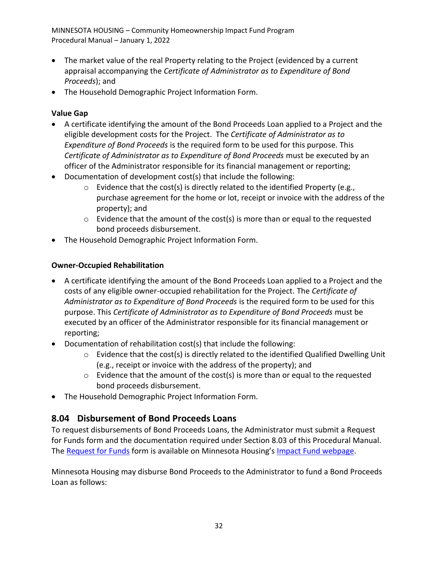- The market value of the real Property relating to the Project (evidenced by a current appraisal accompanying the *Certificate of Administrator as to Expenditure of Bond Proceeds*); and
- The Household Demographic Project Information Form.

#### **Value Gap**

- A certificate identifying the amount of the Bond Proceeds Loan applied to a Project and the eligible development costs for the Project. The *Certificate of Administrator as to Expenditure of Bond Proceeds* is the required form to be used for this purpose. This *Certificate of Administrator as to Expenditure of Bond Proceeds* must be executed by an officer of the Administrator responsible for its financial management or reporting;
- Documentation of development cost(s) that include the following:
	- o Evidence that the cost(s) is directly related to the identified Property (e.g., purchase agreement for the home or lot, receipt or invoice with the address of the property); and
	- $\circ$  Evidence that the amount of the cost(s) is more than or equal to the requested bond proceeds disbursement.
- The Household Demographic Project Information Form.

#### **Owner-Occupied Rehabilitation**

- A certificate identifying the amount of the Bond Proceeds Loan applied to a Project and the costs of any eligible owner-occupied rehabilitation for the Project. The *Certificate of Administrator as to Expenditure of Bond Proceeds* is the required form to be used for this purpose. This *Certificate of Administrator as to Expenditure of Bond Proceeds* must be executed by an officer of the Administrator responsible for its financial management or reporting;
- Documentation of rehabilitation cost(s) that include the following:
	- $\circ$  Evidence that the cost(s) is directly related to the identified Qualified Dwelling Unit (e.g., receipt or invoice with the address of the property); and
	- $\circ$  Evidence that the amount of the cost(s) is more than or equal to the requested bond proceeds disbursement.
- The Household Demographic Project Information Form.

## <span id="page-36-0"></span>**8.04 Disbursement of Bond Proceeds Loans**

To request disbursements of Bond Proceeds Loans, the Administrator must submit a Request for Funds form and the documentation required under Section 8.03 of this Procedural Manual. The [Request for Funds](http://www.mnhousing.gov/get/MHFA_013554) form is available on Minnesota Housing's [Impact Fund webpage.](https://www.mnhousing.gov/sites/np/impactfund)

Minnesota Housing may disburse Bond Proceeds to the Administrator to fund a Bond Proceeds Loan as follows: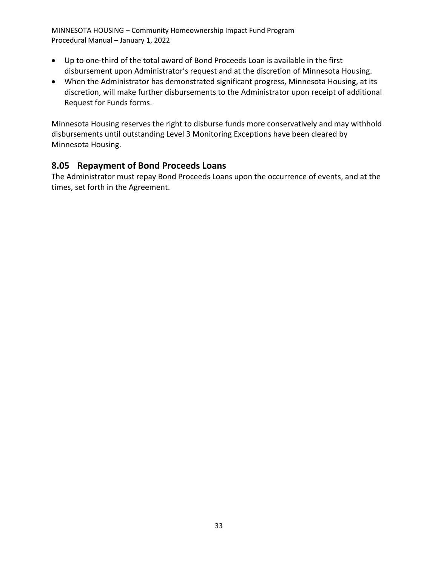- Up to one-third of the total award of Bond Proceeds Loan is available in the first disbursement upon Administrator's request and at the discretion of Minnesota Housing.
- When the Administrator has demonstrated significant progress, Minnesota Housing, at its discretion, will make further disbursements to the Administrator upon receipt of additional Request for Funds forms.

Minnesota Housing reserves the right to disburse funds more conservatively and may withhold disbursements until outstanding Level 3 Monitoring Exceptions have been cleared by Minnesota Housing.

#### <span id="page-37-0"></span>**8.05 Repayment of Bond Proceeds Loans**

The Administrator must repay Bond Proceeds Loans upon the occurrence of events, and at the times, set forth in the Agreement.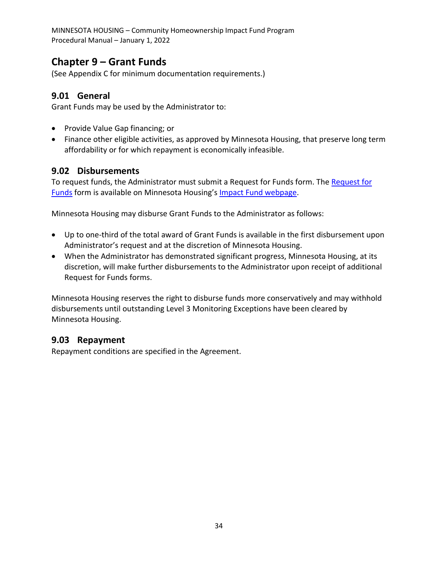# <span id="page-38-0"></span>**Chapter 9 – Grant Funds**

(See Appendix C for minimum documentation requirements.)

#### <span id="page-38-1"></span>**9.01 General**

Grant Funds may be used by the Administrator to:

- Provide Value Gap financing; or
- Finance other eligible activities, as approved by Minnesota Housing, that preserve long term affordability or for which repayment is economically infeasible.

#### <span id="page-38-2"></span>**9.02 Disbursements**

To request funds, the Administrator must submit a Request for Funds form. The [Request for](http://www.mnhousing.gov/get/MHFA_013554)  [Funds](http://www.mnhousing.gov/get/MHFA_013554) form is available on Minnesota Housing's [Impact Fund webpage.](http://mnhousing.gov/wcs/Satellite?c=Page&cid=1358906164357&pagename=External%2FPage%2FEXTStandardLayout)

Minnesota Housing may disburse Grant Funds to the Administrator as follows:

- Up to one-third of the total award of Grant Funds is available in the first disbursement upon Administrator's request and at the discretion of Minnesota Housing.
- When the Administrator has demonstrated significant progress, Minnesota Housing, at its discretion, will make further disbursements to the Administrator upon receipt of additional Request for Funds forms.

Minnesota Housing reserves the right to disburse funds more conservatively and may withhold disbursements until outstanding Level 3 Monitoring Exceptions have been cleared by Minnesota Housing.

#### <span id="page-38-3"></span>**9.03 Repayment**

Repayment conditions are specified in the Agreement.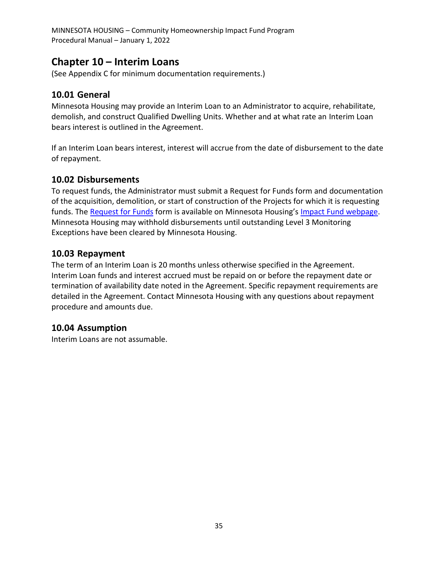## <span id="page-39-0"></span>**Chapter 10 – Interim Loans**

(See Appendix C for minimum documentation requirements.)

#### <span id="page-39-1"></span>**10.01 General**

Minnesota Housing may provide an Interim Loan to an Administrator to acquire, rehabilitate, demolish, and construct Qualified Dwelling Units. Whether and at what rate an Interim Loan bears interest is outlined in the Agreement.

If an Interim Loan bears interest, interest will accrue from the date of disbursement to the date of repayment.

#### <span id="page-39-2"></span>**10.02 Disbursements**

To request funds, the Administrator must submit a Request for Funds form and documentation of the acquisition, demolition, or start of construction of the Projects for which it is requesting funds. The [Request for Funds](http://www.mnhousing.gov/get/MHFA_013554) form is available on Minnesota Housing's [Impact Fund webpage.](http://mnhousing.gov/wcs/Satellite?c=Page&cid=1358906164357&pagename=External%2FPage%2FEXTStandardLayout) Minnesota Housing may withhold disbursements until outstanding Level 3 Monitoring Exceptions have been cleared by Minnesota Housing.

#### <span id="page-39-3"></span>**10.03 Repayment**

The term of an Interim Loan is 20 months unless otherwise specified in the Agreement. Interim Loan funds and interest accrued must be repaid on or before the repayment date or termination of availability date noted in the Agreement. Specific repayment requirements are detailed in the Agreement. Contact Minnesota Housing with any questions about repayment procedure and amounts due.

#### <span id="page-39-4"></span>**10.04 Assumption**

Interim Loans are not assumable.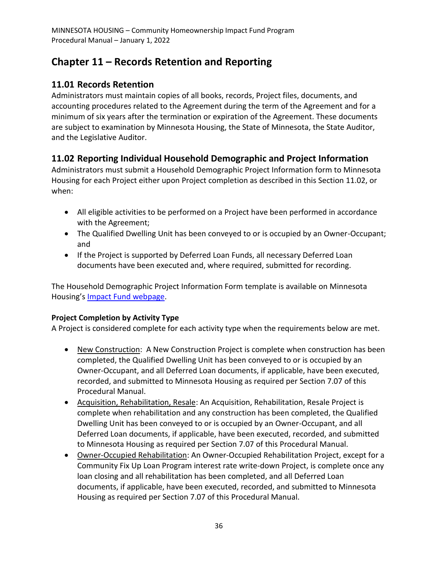# <span id="page-40-0"></span>**Chapter 11 – Records Retention and Reporting**

## <span id="page-40-1"></span>**11.01 Records Retention**

Administrators must maintain copies of all books, records, Project files, documents, and accounting procedures related to the Agreement during the term of the Agreement and for a minimum of six years after the termination or expiration of the Agreement. These documents are subject to examination by Minnesota Housing, the State of Minnesota, the State Auditor, and the Legislative Auditor.

## <span id="page-40-2"></span>**11.02 Reporting Individual Household Demographic and Project Information**

Administrators must submit a Household Demographic Project Information form to Minnesota Housing for each Project either upon Project completion as described in this Section 11.02, or when:

- All eligible activities to be performed on a Project have been performed in accordance with the Agreement;
- The Qualified Dwelling Unit has been conveyed to or is occupied by an Owner-Occupant; and
- If the Project is supported by Deferred Loan Funds, all necessary Deferred Loan documents have been executed and, where required, submitted for recording.

The Household Demographic Project Information Form template is available on Minnesota Housing's [Impact Fund webpage.](http://mnhousing.gov/wcs/Satellite?c=Page&cid=1358906164357&pagename=External%2FPage%2FEXTStandardLayout)

#### **Project Completion by Activity Type**

A Project is considered complete for each activity type when the requirements below are met.

- New Construction: A New Construction Project is complete when construction has been completed, the Qualified Dwelling Unit has been conveyed to or is occupied by an Owner-Occupant, and all Deferred Loan documents, if applicable, have been executed, recorded, and submitted to Minnesota Housing as required per Section 7.07 of this Procedural Manual.
- Acquisition, Rehabilitation, Resale: An Acquisition, Rehabilitation, Resale Project is complete when rehabilitation and any construction has been completed, the Qualified Dwelling Unit has been conveyed to or is occupied by an Owner-Occupant, and all Deferred Loan documents, if applicable, have been executed, recorded, and submitted to Minnesota Housing as required per Section 7.07 of this Procedural Manual.
- Owner-Occupied Rehabilitation: An Owner-Occupied Rehabilitation Project, except for a Community Fix Up Loan Program interest rate write-down Project, is complete once any loan closing and all rehabilitation has been completed, and all Deferred Loan documents, if applicable, have been executed, recorded, and submitted to Minnesota Housing as required per Section 7.07 of this Procedural Manual.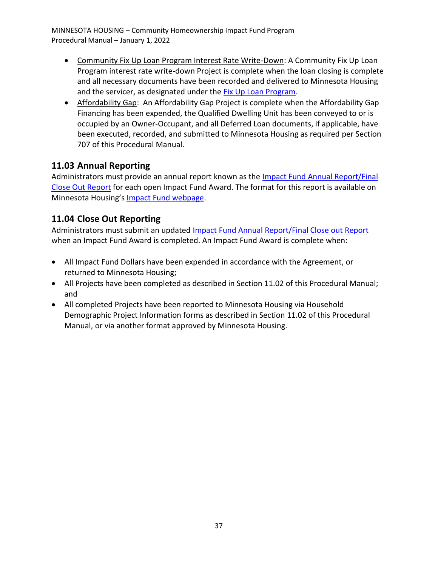- Community Fix Up Loan Program Interest Rate Write-Down: A Community Fix Up Loan Program interest rate write-down Project is complete when the loan closing is complete and all necessary documents have been recorded and delivered to Minnesota Housing and the servicer, as designated under the [Fix Up Loan Program.](http://mnhousing.gov/wcs/Satellite?c=Page&cid=1360797573568&pagename=External%2FPage%2FEXTStandardLayout)
- Affordability Gap: An Affordability Gap Project is complete when the Affordability Gap Financing has been expended, the Qualified Dwelling Unit has been conveyed to or is occupied by an Owner-Occupant, and all Deferred Loan documents, if applicable, have been executed, recorded, and submitted to Minnesota Housing as required per Section 707 of this Procedural Manual.

## <span id="page-41-0"></span>**11.03 Annual Reporting**

Administrators must provide an annual report known as the Impact Fund Annual Report/Final [Close Out Report](http://mnhousing.gov/wcs/Satellite?c=Page&cid=1358906164357&pagename=External%2FPage%2FEXTStandardLayout) for each open Impact Fund Award. The format for this report is available on Minnesota Housing's [Impact Fund webpage.](http://mnhousing.gov/wcs/Satellite?c=Page&cid=1358906164357&pagename=External%2FPage%2FEXTStandardLayout)

## <span id="page-41-1"></span>**11.04 Close Out Reporting**

Administrators must submit an updated [Impact Fund Annual Report/Final Close out Report](http://mnhousing.gov/wcs/Satellite?c=Page&cid=1358906164357&pagename=External%2FPage%2FEXTStandardLayout) when an Impact Fund Award is completed. An Impact Fund Award is complete when:

- All Impact Fund Dollars have been expended in accordance with the Agreement, or returned to Minnesota Housing;
- All Projects have been completed as described in Section 11.02 of this Procedural Manual; and
- All completed Projects have been reported to Minnesota Housing via Household Demographic Project Information forms as described in Section 11.02 of this Procedural Manual, or via another format approved by Minnesota Housing.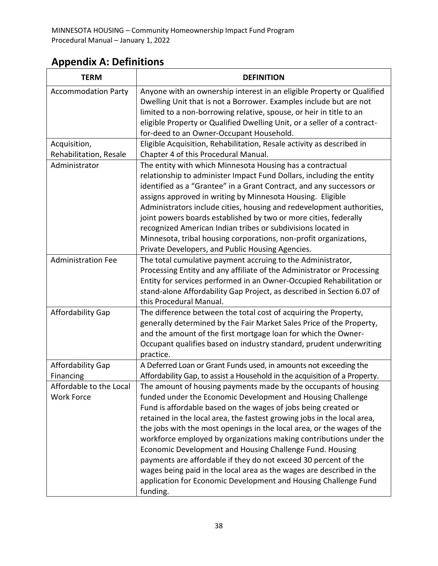# <span id="page-42-0"></span>**Appendix A: Definitions**

| <b>TERM</b>                | <b>DEFINITION</b>                                                          |
|----------------------------|----------------------------------------------------------------------------|
| <b>Accommodation Party</b> | Anyone with an ownership interest in an eligible Property or Qualified     |
|                            | Dwelling Unit that is not a Borrower. Examples include but are not         |
|                            | limited to a non-borrowing relative, spouse, or heir in title to an        |
|                            | eligible Property or Qualified Dwelling Unit, or a seller of a contract-   |
|                            | for-deed to an Owner-Occupant Household.                                   |
| Acquisition,               | Eligible Acquisition, Rehabilitation, Resale activity as described in      |
| Rehabilitation, Resale     | Chapter 4 of this Procedural Manual.                                       |
| Administrator              | The entity with which Minnesota Housing has a contractual                  |
|                            | relationship to administer Impact Fund Dollars, including the entity       |
|                            | identified as a "Grantee" in a Grant Contract, and any successors or       |
|                            | assigns approved in writing by Minnesota Housing. Eligible                 |
|                            | Administrators include cities, housing and redevelopment authorities,      |
|                            | joint powers boards established by two or more cities, federally           |
|                            | recognized American Indian tribes or subdivisions located in               |
|                            | Minnesota, tribal housing corporations, non-profit organizations,          |
|                            | Private Developers, and Public Housing Agencies.                           |
| <b>Administration Fee</b>  | The total cumulative payment accruing to the Administrator,                |
|                            | Processing Entity and any affiliate of the Administrator or Processing     |
|                            | Entity for services performed in an Owner-Occupied Rehabilitation or       |
|                            | stand-alone Affordability Gap Project, as described in Section 6.07 of     |
|                            | this Procedural Manual.                                                    |
| Affordability Gap          | The difference between the total cost of acquiring the Property,           |
|                            | generally determined by the Fair Market Sales Price of the Property,       |
|                            | and the amount of the first mortgage loan for which the Owner-             |
|                            | Occupant qualifies based on industry standard, prudent underwriting        |
|                            | practice.                                                                  |
| <b>Affordability Gap</b>   | A Deferred Loan or Grant Funds used, in amounts not exceeding the          |
| Financing                  | Affordability Gap, to assist a Household in the acquisition of a Property. |
| Affordable to the Local    | The amount of housing payments made by the occupants of housing            |
| <b>Work Force</b>          | funded under the Economic Development and Housing Challenge                |
|                            | Fund is affordable based on the wages of jobs being created or             |
|                            | retained in the local area, the fastest growing jobs in the local area,    |
|                            | the jobs with the most openings in the local area, or the wages of the     |
|                            | workforce employed by organizations making contributions under the         |
|                            | Economic Development and Housing Challenge Fund. Housing                   |
|                            | payments are affordable if they do not exceed 30 percent of the            |
|                            | wages being paid in the local area as the wages are described in the       |
|                            | application for Economic Development and Housing Challenge Fund            |
|                            | funding.                                                                   |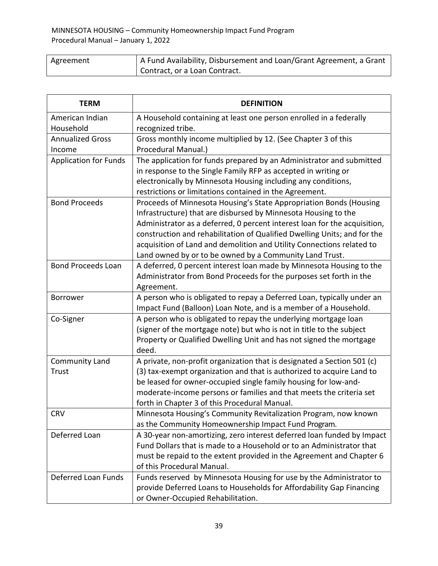| Agreement | A Fund Availability, Disbursement and Loan/Grant Agreement, a Grant |
|-----------|---------------------------------------------------------------------|
|           | Contract, or a Loan Contract.                                       |

| <b>TERM</b>                  | <b>DEFINITION</b>                                                         |
|------------------------------|---------------------------------------------------------------------------|
| American Indian              | A Household containing at least one person enrolled in a federally        |
| Household                    | recognized tribe.                                                         |
| <b>Annualized Gross</b>      | Gross monthly income multiplied by 12. (See Chapter 3 of this             |
| Income                       | Procedural Manual.)                                                       |
| <b>Application for Funds</b> | The application for funds prepared by an Administrator and submitted      |
|                              | in response to the Single Family RFP as accepted in writing or            |
|                              | electronically by Minnesota Housing including any conditions,             |
|                              | restrictions or limitations contained in the Agreement.                   |
| <b>Bond Proceeds</b>         | Proceeds of Minnesota Housing's State Appropriation Bonds (Housing        |
|                              | Infrastructure) that are disbursed by Minnesota Housing to the            |
|                              | Administrator as a deferred, 0 percent interest loan for the acquisition, |
|                              | construction and rehabilitation of Qualified Dwelling Units; and for the  |
|                              | acquisition of Land and demolition and Utility Connections related to     |
|                              | Land owned by or to be owned by a Community Land Trust.                   |
| <b>Bond Proceeds Loan</b>    | A deferred, 0 percent interest loan made by Minnesota Housing to the      |
|                              | Administrator from Bond Proceeds for the purposes set forth in the        |
|                              | Agreement.                                                                |
| <b>Borrower</b>              | A person who is obligated to repay a Deferred Loan, typically under an    |
|                              | Impact Fund (Balloon) Loan Note, and is a member of a Household.          |
| Co-Signer                    | A person who is obligated to repay the underlying mortgage loan           |
|                              | (signer of the mortgage note) but who is not in title to the subject      |
|                              | Property or Qualified Dwelling Unit and has not signed the mortgage       |
|                              | deed.                                                                     |
| <b>Community Land</b>        | A private, non-profit organization that is designated a Section 501 (c)   |
| Trust                        | (3) tax-exempt organization and that is authorized to acquire Land to     |
|                              | be leased for owner-occupied single family housing for low-and-           |
|                              | moderate-income persons or families and that meets the criteria set       |
|                              | forth in Chapter 3 of this Procedural Manual.                             |
| <b>CRV</b>                   | Minnesota Housing's Community Revitalization Program, now known           |
|                              | as the Community Homeownership Impact Fund Program.                       |
| Deferred Loan                | A 30-year non-amortizing, zero interest deferred loan funded by Impact    |
|                              | Fund Dollars that is made to a Household or to an Administrator that      |
|                              | must be repaid to the extent provided in the Agreement and Chapter 6      |
|                              | of this Procedural Manual.                                                |
| Deferred Loan Funds          | Funds reserved by Minnesota Housing for use by the Administrator to       |
|                              | provide Deferred Loans to Households for Affordability Gap Financing      |
|                              | or Owner-Occupied Rehabilitation.                                         |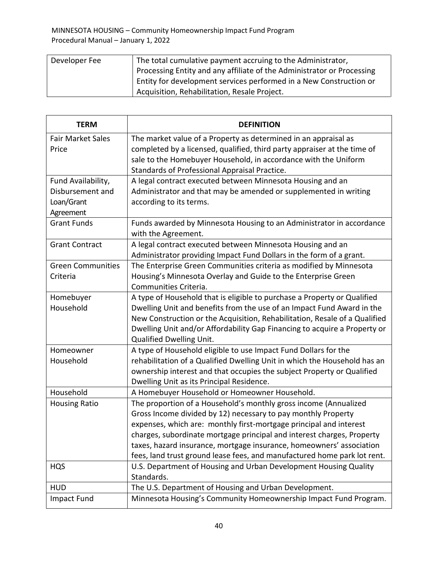| Developer Fee | The total cumulative payment accruing to the Administrator,            |
|---------------|------------------------------------------------------------------------|
|               | Processing Entity and any affiliate of the Administrator or Processing |
|               | Entity for development services performed in a New Construction or     |
|               | Acquisition, Rehabilitation, Resale Project.                           |

| <b>TERM</b>              | <b>DEFINITION</b>                                                                           |
|--------------------------|---------------------------------------------------------------------------------------------|
| <b>Fair Market Sales</b> | The market value of a Property as determined in an appraisal as                             |
| Price                    | completed by a licensed, qualified, third party appraiser at the time of                    |
|                          | sale to the Homebuyer Household, in accordance with the Uniform                             |
|                          | Standards of Professional Appraisal Practice.                                               |
| Fund Availability,       | A legal contract executed between Minnesota Housing and an                                  |
| Disbursement and         | Administrator and that may be amended or supplemented in writing                            |
| Loan/Grant               | according to its terms.                                                                     |
| Agreement                |                                                                                             |
| <b>Grant Funds</b>       | Funds awarded by Minnesota Housing to an Administrator in accordance<br>with the Agreement. |
| <b>Grant Contract</b>    | A legal contract executed between Minnesota Housing and an                                  |
|                          | Administrator providing Impact Fund Dollars in the form of a grant.                         |
| <b>Green Communities</b> | The Enterprise Green Communities criteria as modified by Minnesota                          |
| Criteria                 | Housing's Minnesota Overlay and Guide to the Enterprise Green                               |
|                          | Communities Criteria.                                                                       |
| Homebuyer                | A type of Household that is eligible to purchase a Property or Qualified                    |
| Household                | Dwelling Unit and benefits from the use of an Impact Fund Award in the                      |
|                          | New Construction or the Acquisition, Rehabilitation, Resale of a Qualified                  |
|                          | Dwelling Unit and/or Affordability Gap Financing to acquire a Property or                   |
|                          | <b>Qualified Dwelling Unit.</b>                                                             |
| Homeowner                | A type of Household eligible to use Impact Fund Dollars for the                             |
| Household                | rehabilitation of a Qualified Dwelling Unit in which the Household has an                   |
|                          | ownership interest and that occupies the subject Property or Qualified                      |
|                          | Dwelling Unit as its Principal Residence.                                                   |
| Household                | A Homebuyer Household or Homeowner Household.                                               |
| <b>Housing Ratio</b>     | The proportion of a Household's monthly gross income (Annualized                            |
|                          | Gross Income divided by 12) necessary to pay monthly Property                               |
|                          | expenses, which are: monthly first-mortgage principal and interest                          |
|                          | charges, subordinate mortgage principal and interest charges, Property                      |
|                          | taxes, hazard insurance, mortgage insurance, homeowners' association                        |
|                          | fees, land trust ground lease fees, and manufactured home park lot rent.                    |
| <b>HQS</b>               | U.S. Department of Housing and Urban Development Housing Quality                            |
|                          | Standards.                                                                                  |
| <b>HUD</b>               | The U.S. Department of Housing and Urban Development.                                       |
| <b>Impact Fund</b>       | Minnesota Housing's Community Homeownership Impact Fund Program.                            |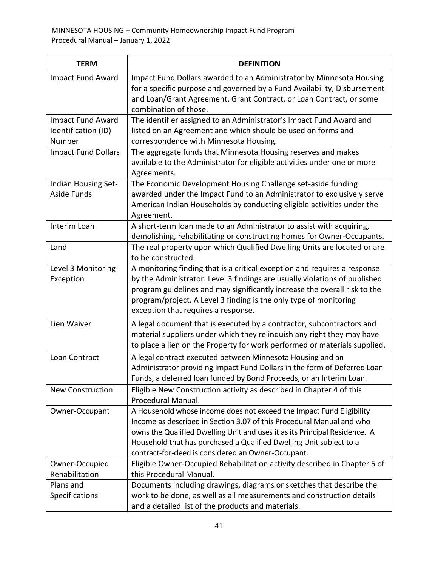| <b>TERM</b>                                               | <b>DEFINITION</b>                                                                                                                                                                                                                                                                                                                                        |
|-----------------------------------------------------------|----------------------------------------------------------------------------------------------------------------------------------------------------------------------------------------------------------------------------------------------------------------------------------------------------------------------------------------------------------|
| Impact Fund Award                                         | Impact Fund Dollars awarded to an Administrator by Minnesota Housing<br>for a specific purpose and governed by a Fund Availability, Disbursement<br>and Loan/Grant Agreement, Grant Contract, or Loan Contract, or some<br>combination of those.                                                                                                         |
| <b>Impact Fund Award</b><br>Identification (ID)<br>Number | The identifier assigned to an Administrator's Impact Fund Award and<br>listed on an Agreement and which should be used on forms and<br>correspondence with Minnesota Housing.                                                                                                                                                                            |
| <b>Impact Fund Dollars</b>                                | The aggregate funds that Minnesota Housing reserves and makes<br>available to the Administrator for eligible activities under one or more<br>Agreements.                                                                                                                                                                                                 |
| Indian Housing Set-<br><b>Aside Funds</b>                 | The Economic Development Housing Challenge set-aside funding<br>awarded under the Impact Fund to an Administrator to exclusively serve<br>American Indian Households by conducting eligible activities under the<br>Agreement.                                                                                                                           |
| Interim Loan                                              | A short-term loan made to an Administrator to assist with acquiring,<br>demolishing, rehabilitating or constructing homes for Owner-Occupants.                                                                                                                                                                                                           |
| Land                                                      | The real property upon which Qualified Dwelling Units are located or are<br>to be constructed.                                                                                                                                                                                                                                                           |
| Level 3 Monitoring<br>Exception                           | A monitoring finding that is a critical exception and requires a response<br>by the Administrator. Level 3 findings are usually violations of published<br>program guidelines and may significantly increase the overall risk to the<br>program/project. A Level 3 finding is the only type of monitoring<br>exception that requires a response.         |
| Lien Waiver                                               | A legal document that is executed by a contractor, subcontractors and<br>material suppliers under which they relinquish any right they may have<br>to place a lien on the Property for work performed or materials supplied.                                                                                                                             |
| Loan Contract                                             | A legal contract executed between Minnesota Housing and an<br>Administrator providing Impact Fund Dollars in the form of Deferred Loan<br>Funds, a deferred loan funded by Bond Proceeds, or an Interim Loan.                                                                                                                                            |
| <b>New Construction</b>                                   | Eligible New Construction activity as described in Chapter 4 of this<br>Procedural Manual.                                                                                                                                                                                                                                                               |
| Owner-Occupant                                            | A Household whose income does not exceed the Impact Fund Eligibility<br>Income as described in Section 3.07 of this Procedural Manual and who<br>owns the Qualified Dwelling Unit and uses it as its Principal Residence. A<br>Household that has purchased a Qualified Dwelling Unit subject to a<br>contract-for-deed is considered an Owner-Occupant. |
| Owner-Occupied<br>Rehabilitation                          | Eligible Owner-Occupied Rehabilitation activity described in Chapter 5 of<br>this Procedural Manual.                                                                                                                                                                                                                                                     |
| Plans and<br>Specifications                               | Documents including drawings, diagrams or sketches that describe the<br>work to be done, as well as all measurements and construction details<br>and a detailed list of the products and materials.                                                                                                                                                      |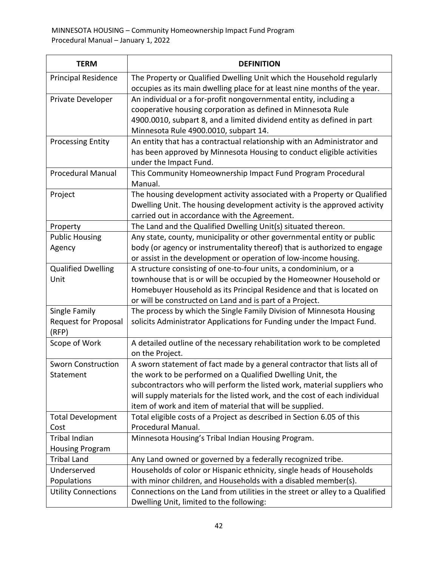| <b>TERM</b>                 | <b>DEFINITION</b>                                                                                                                                  |
|-----------------------------|----------------------------------------------------------------------------------------------------------------------------------------------------|
| <b>Principal Residence</b>  | The Property or Qualified Dwelling Unit which the Household regularly<br>occupies as its main dwelling place for at least nine months of the year. |
| Private Developer           | An individual or a for-profit nongovernmental entity, including a                                                                                  |
|                             | cooperative housing corporation as defined in Minnesota Rule                                                                                       |
|                             | 4900.0010, subpart 8, and a limited dividend entity as defined in part                                                                             |
|                             | Minnesota Rule 4900.0010, subpart 14.                                                                                                              |
| <b>Processing Entity</b>    | An entity that has a contractual relationship with an Administrator and                                                                            |
|                             | has been approved by Minnesota Housing to conduct eligible activities                                                                              |
|                             | under the Impact Fund.                                                                                                                             |
| <b>Procedural Manual</b>    | This Community Homeownership Impact Fund Program Procedural                                                                                        |
|                             | Manual.                                                                                                                                            |
| Project                     | The housing development activity associated with a Property or Qualified                                                                           |
|                             | Dwelling Unit. The housing development activity is the approved activity                                                                           |
|                             | carried out in accordance with the Agreement.                                                                                                      |
| Property                    | The Land and the Qualified Dwelling Unit(s) situated thereon.                                                                                      |
| <b>Public Housing</b>       | Any state, county, municipality or other governmental entity or public                                                                             |
| Agency                      | body (or agency or instrumentality thereof) that is authorized to engage                                                                           |
|                             | or assist in the development or operation of low-income housing.                                                                                   |
| <b>Qualified Dwelling</b>   | A structure consisting of one-to-four units, a condominium, or a                                                                                   |
| Unit                        | townhouse that is or will be occupied by the Homeowner Household or                                                                                |
|                             | Homebuyer Household as its Principal Residence and that is located on                                                                              |
|                             | or will be constructed on Land and is part of a Project.                                                                                           |
| Single Family               | The process by which the Single Family Division of Minnesota Housing                                                                               |
| <b>Request for Proposal</b> | solicits Administrator Applications for Funding under the Impact Fund.                                                                             |
| (RFP)                       |                                                                                                                                                    |
| Scope of Work               | A detailed outline of the necessary rehabilitation work to be completed<br>on the Project.                                                         |
| <b>Sworn Construction</b>   | A sworn statement of fact made by a general contractor that lists all of                                                                           |
| Statement                   | the work to be performed on a Qualified Dwelling Unit, the                                                                                         |
|                             | subcontractors who will perform the listed work, material suppliers who                                                                            |
|                             | will supply materials for the listed work, and the cost of each individual                                                                         |
|                             | item of work and item of material that will be supplied.                                                                                           |
| <b>Total Development</b>    | Total eligible costs of a Project as described in Section 6.05 of this                                                                             |
| Cost                        | Procedural Manual.                                                                                                                                 |
| <b>Tribal Indian</b>        | Minnesota Housing's Tribal Indian Housing Program.                                                                                                 |
| <b>Housing Program</b>      |                                                                                                                                                    |
| <b>Tribal Land</b>          | Any Land owned or governed by a federally recognized tribe.                                                                                        |
| Underserved                 | Households of color or Hispanic ethnicity, single heads of Households                                                                              |
| Populations                 | with minor children, and Households with a disabled member(s).                                                                                     |
| <b>Utility Connections</b>  | Connections on the Land from utilities in the street or alley to a Qualified                                                                       |
|                             | Dwelling Unit, limited to the following:                                                                                                           |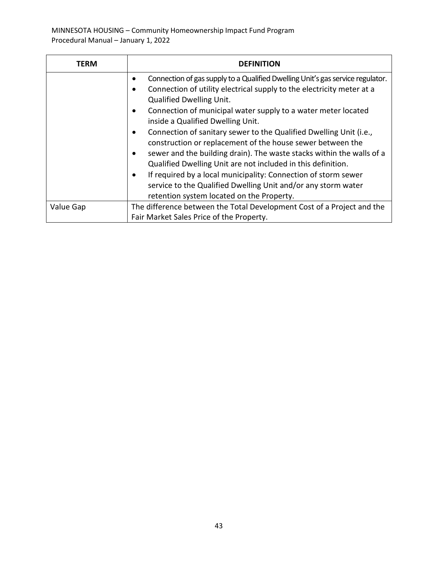| TERM      | <b>DEFINITION</b>                                                                                                                                                                                                                                                                                                                                                                                                                                                                                                                                                                                                                                                                                                                                             |
|-----------|---------------------------------------------------------------------------------------------------------------------------------------------------------------------------------------------------------------------------------------------------------------------------------------------------------------------------------------------------------------------------------------------------------------------------------------------------------------------------------------------------------------------------------------------------------------------------------------------------------------------------------------------------------------------------------------------------------------------------------------------------------------|
|           | Connection of gas supply to a Qualified Dwelling Unit's gas service regulator.<br>Connection of utility electrical supply to the electricity meter at a<br><b>Qualified Dwelling Unit.</b><br>Connection of municipal water supply to a water meter located<br>inside a Qualified Dwelling Unit.<br>Connection of sanitary sewer to the Qualified Dwelling Unit (i.e.,<br>construction or replacement of the house sewer between the<br>sewer and the building drain). The waste stacks within the walls of a<br>Qualified Dwelling Unit are not included in this definition.<br>If required by a local municipality: Connection of storm sewer<br>service to the Qualified Dwelling Unit and/or any storm water<br>retention system located on the Property. |
| Value Gap | The difference between the Total Development Cost of a Project and the<br>Fair Market Sales Price of the Property.                                                                                                                                                                                                                                                                                                                                                                                                                                                                                                                                                                                                                                            |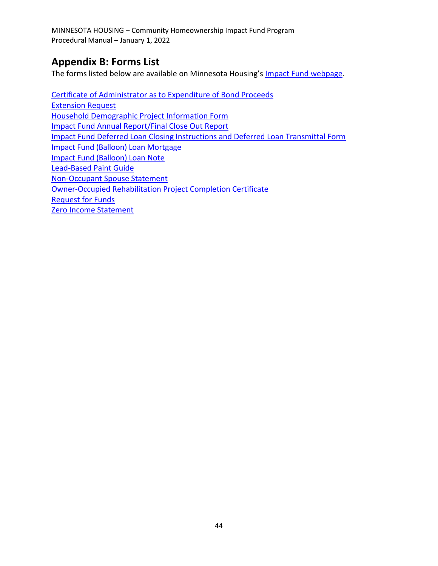# <span id="page-48-0"></span>**Appendix B: Forms List**

The forms listed below are available on Minnesota Housing's [Impact Fund webpage.](https://www.mnhousing.gov/sites/np/impactfund)

[Certificate of Administrator as to Expenditure of Bond Proceeds](http://mnhousing.gov/wcs/Satellite?c=Page&cid=1358906164357&pagename=External%2FPage%2FEXTStandardLayout) [Extension Request](http://www.mnhousing.gov/get/MHFA_007644) [Household Demographic Project Information Form](http://www.mnhousing.gov/download/MHFA_013395) [Impact Fund Annual Report/Final Close Out Report](http://www.mnhousing.gov/download/MHFA_013686) [Impact Fund Deferred Loan Closing Instructions and Deferred Loan Transmittal Form](http://www.mnhousing.gov/get/MHFA_1021012) [Impact Fund \(Balloon\) Loan](http://www.mnhousing.gov/get/MHFA_1017009) Mortgage [Impact Fund \(Balloon\) Loan](http://www.mnhousing.gov/get/MHFA_251351) Note [Lead-Based Paint Guide](http://www.mnhousing.gov/download/MHFA_006950) [Non-Occupant Spouse Statement](http://www.mnhousing.gov/get/MHFA_1016884) [Owner-Occupied Rehabilitation Project Completion Certificate](http://www.mnhousing.gov/get/MHFA_1043056) [Request for Funds](http://www.mnhousing.gov/get/MHFA_013554) [Zero Income Statement](http://www.mnhousing.gov/get/MHFA_1016885)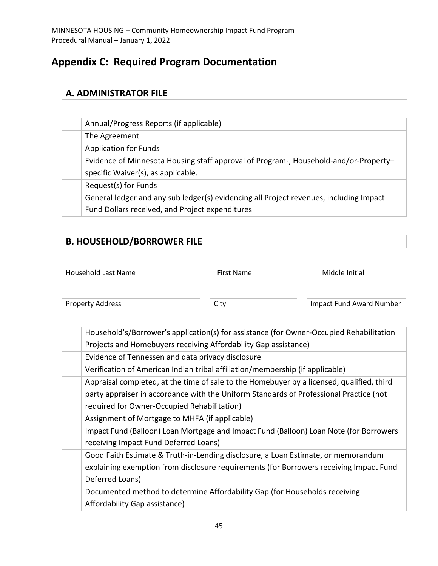# <span id="page-49-0"></span>**Appendix C: Required Program Documentation**

## <span id="page-49-1"></span>**A. ADMINISTRATOR FILE**

| Annual/Progress Reports (if applicable)                                                |
|----------------------------------------------------------------------------------------|
| The Agreement                                                                          |
| <b>Application for Funds</b>                                                           |
| Evidence of Minnesota Housing staff approval of Program-, Household-and/or-Property-   |
| specific Waiver(s), as applicable.                                                     |
| Request(s) for Funds                                                                   |
| General ledger and any sub ledger(s) evidencing all Project revenues, including Impact |
| Fund Dollars received, and Project expenditures                                        |

# <span id="page-49-2"></span>**B. HOUSEHOLD/BORROWER FILE**

| Household Last Name | <b>First Name</b> | Middle Initial |
|---------------------|-------------------|----------------|
|                     |                   |                |

Property Address **City** City **City** Impact Fund Award Number

| Household's/Borrower's application(s) for assistance (for Owner-Occupied Rehabilitation   |
|-------------------------------------------------------------------------------------------|
| Projects and Homebuyers receiving Affordability Gap assistance)                           |
| Evidence of Tennessen and data privacy disclosure                                         |
| Verification of American Indian tribal affiliation/membership (if applicable)             |
| Appraisal completed, at the time of sale to the Homebuyer by a licensed, qualified, third |
| party appraiser in accordance with the Uniform Standards of Professional Practice (not    |
| required for Owner-Occupied Rehabilitation)                                               |
| Assignment of Mortgage to MHFA (if applicable)                                            |
| Impact Fund (Balloon) Loan Mortgage and Impact Fund (Balloon) Loan Note (for Borrowers    |
| receiving Impact Fund Deferred Loans)                                                     |
| Good Faith Estimate & Truth-in-Lending disclosure, a Loan Estimate, or memorandum         |
| explaining exemption from disclosure requirements (for Borrowers receiving Impact Fund    |
| Deferred Loans)                                                                           |
| Documented method to determine Affordability Gap (for Households receiving                |
| Affordability Gap assistance)                                                             |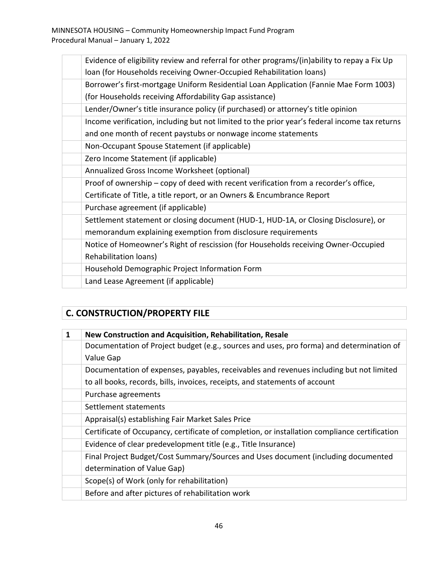| Evidence of eligibility review and referral for other programs/(in)ability to repay a Fix Up  |
|-----------------------------------------------------------------------------------------------|
| loan (for Households receiving Owner-Occupied Rehabilitation loans)                           |
| Borrower's first-mortgage Uniform Residential Loan Application (Fannie Mae Form 1003)         |
| (for Households receiving Affordability Gap assistance)                                       |
| Lender/Owner's title insurance policy (if purchased) or attorney's title opinion              |
| Income verification, including but not limited to the prior year's federal income tax returns |
| and one month of recent paystubs or nonwage income statements                                 |
| Non-Occupant Spouse Statement (if applicable)                                                 |
| Zero Income Statement (if applicable)                                                         |
| Annualized Gross Income Worksheet (optional)                                                  |
| Proof of ownership - copy of deed with recent verification from a recorder's office,          |
| Certificate of Title, a title report, or an Owners & Encumbrance Report                       |
| Purchase agreement (if applicable)                                                            |
| Settlement statement or closing document (HUD-1, HUD-1A, or Closing Disclosure), or           |
| memorandum explaining exemption from disclosure requirements                                  |
| Notice of Homeowner's Right of rescission (for Households receiving Owner-Occupied            |
| Rehabilitation loans)                                                                         |
| Household Demographic Project Information Form                                                |
| Land Lease Agreement (if applicable)                                                          |

# <span id="page-50-0"></span>**C. CONSTRUCTION/PROPERTY FILE**

| 1 | New Construction and Acquisition, Rehabilitation, Resale                                      |
|---|-----------------------------------------------------------------------------------------------|
|   | Documentation of Project budget (e.g., sources and uses, pro forma) and determination of      |
|   | Value Gap                                                                                     |
|   | Documentation of expenses, payables, receivables and revenues including but not limited       |
|   | to all books, records, bills, invoices, receipts, and statements of account                   |
|   | Purchase agreements                                                                           |
|   | Settlement statements                                                                         |
|   | Appraisal(s) establishing Fair Market Sales Price                                             |
|   | Certificate of Occupancy, certificate of completion, or installation compliance certification |
|   | Evidence of clear predevelopment title (e.g., Title Insurance)                                |
|   | Final Project Budget/Cost Summary/Sources and Uses document (including documented             |
|   | determination of Value Gap)                                                                   |
|   | Scope(s) of Work (only for rehabilitation)                                                    |
|   | Before and after pictures of rehabilitation work                                              |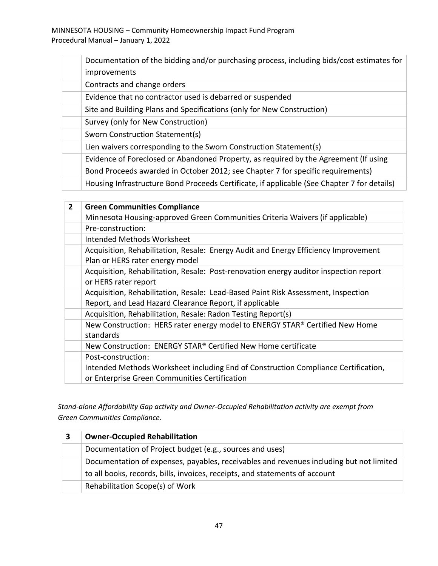| Documentation of the bidding and/or purchasing process, including bids/cost estimates for   |
|---------------------------------------------------------------------------------------------|
| improvements                                                                                |
| Contracts and change orders                                                                 |
| Evidence that no contractor used is debarred or suspended                                   |
| Site and Building Plans and Specifications (only for New Construction)                      |
| Survey (only for New Construction)                                                          |
| Sworn Construction Statement(s)                                                             |
| Lien waivers corresponding to the Sworn Construction Statement(s)                           |
| Evidence of Foreclosed or Abandoned Property, as required by the Agreement (If using        |
| Bond Proceeds awarded in October 2012; see Chapter 7 for specific requirements)             |
| Housing Infrastructure Bond Proceeds Certificate, if applicable (See Chapter 7 for details) |

| $\overline{2}$ | <b>Green Communities Compliance</b>                                                   |
|----------------|---------------------------------------------------------------------------------------|
|                | Minnesota Housing-approved Green Communities Criteria Waivers (if applicable)         |
|                | Pre-construction:                                                                     |
|                | Intended Methods Worksheet                                                            |
|                | Acquisition, Rehabilitation, Resale: Energy Audit and Energy Efficiency Improvement   |
|                | Plan or HERS rater energy model                                                       |
|                | Acquisition, Rehabilitation, Resale: Post-renovation energy auditor inspection report |
|                | or HERS rater report                                                                  |
|                | Acquisition, Rehabilitation, Resale: Lead-Based Paint Risk Assessment, Inspection     |
|                | Report, and Lead Hazard Clearance Report, if applicable                               |
|                | Acquisition, Rehabilitation, Resale: Radon Testing Report(s)                          |
|                | New Construction: HERS rater energy model to ENERGY STAR® Certified New Home          |
|                | standards                                                                             |
|                | New Construction: ENERGY STAR® Certified New Home certificate                         |
|                | Post-construction:                                                                    |
|                | Intended Methods Worksheet including End of Construction Compliance Certification,    |
|                | or Enterprise Green Communities Certification                                         |

*Stand-alone Affordability Gap activity and Owner-Occupied Rehabilitation activity are exempt from Green Communities Compliance.*

| <b>Owner-Occupied Rehabilitation</b>                                                    |
|-----------------------------------------------------------------------------------------|
| Documentation of Project budget (e.g., sources and uses)                                |
| Documentation of expenses, payables, receivables and revenues including but not limited |
| to all books, records, bills, invoices, receipts, and statements of account             |
| Rehabilitation Scope(s) of Work                                                         |